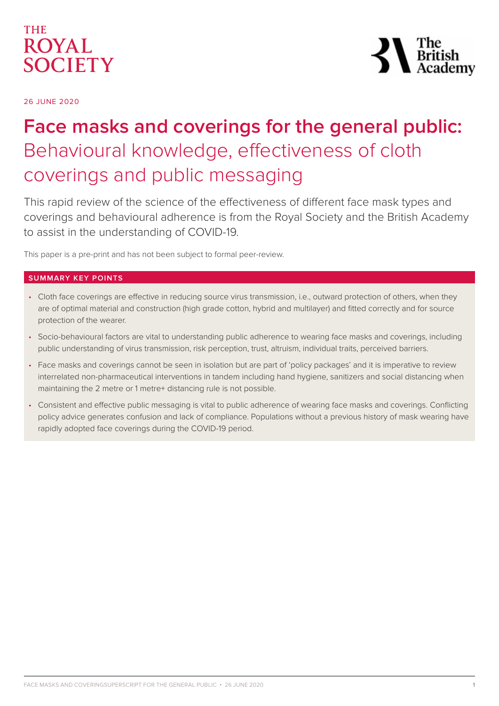

 $\sum_{\substack{\text{British} \ \text{Acader}}}$ 

26 JUNE 2020

# **Face masks and coverings for the general public:**  Behavioural knowledge, effectiveness of cloth coverings and public messaging

This rapid review of the science of the effectiveness of different face mask types and coverings and behavioural adherence is from the Royal Society and the British Academy to assist in the understanding of COVID-19.

This paper is a pre-print and has not been subject to formal peer-review.

## **SUMMARY KEY POINTS**

- Cloth face coverings are effective in reducing source virus transmission, i.e., outward protection of others, when they are of optimal material and construction (high grade cotton, hybrid and multilayer) and fitted correctly and for source protection of the wearer.
- Socio-behavioural factors are vital to understanding public adherence to wearing face masks and coverings, including public understanding of virus transmission, risk perception, trust, altruism, individual traits, perceived barriers.
- Face masks and coverings cannot be seen in isolation but are part of 'policy packages' and it is imperative to review interrelated non-pharmaceutical interventions in tandem including hand hygiene, sanitizers and social distancing when maintaining the 2 metre or 1 metre+ distancing rule is not possible.
- Consistent and effective public messaging is vital to public adherence of wearing face masks and coverings. Conflicting policy advice generates confusion and lack of compliance. Populations without a previous history of mask wearing have rapidly adopted face coverings during the COVID-19 period.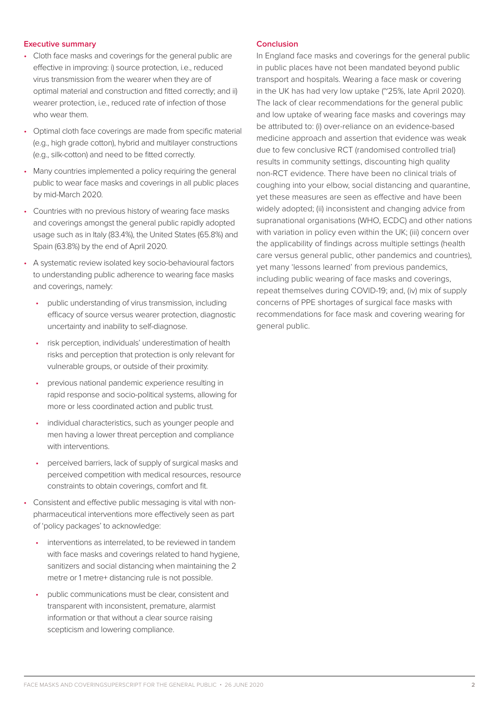#### **Executive summary**

- Cloth face masks and coverings for the general public are effective in improving: i) source protection, i.e., reduced virus transmission from the wearer when they are of optimal material and construction and fitted correctly; and ii) wearer protection, i.e., reduced rate of infection of those who wear them.
- Optimal cloth face coverings are made from specific material (e.g., high grade cotton), hybrid and multilayer constructions (e.g., silk-cotton) and need to be fitted correctly.
- Many countries implemented a policy requiring the general public to wear face masks and coverings in all public places by mid-March 2020.
- Countries with no previous history of wearing face masks and coverings amongst the general public rapidly adopted usage such as in Italy (83.4%), the United States (65.8%) and Spain (63.8%) by the end of April 2020.
- A systematic review isolated key socio-behavioural factors to understanding public adherence to wearing face masks and coverings, namely:
	- public understanding of virus transmission, including efficacy of source versus wearer protection, diagnostic uncertainty and inability to self-diagnose.
	- risk perception, individuals' underestimation of health risks and perception that protection is only relevant for vulnerable groups, or outside of their proximity.
	- previous national pandemic experience resulting in rapid response and socio-political systems, allowing for more or less coordinated action and public trust.
	- individual characteristics, such as younger people and men having a lower threat perception and compliance with interventions.
	- perceived barriers, lack of supply of surgical masks and perceived competition with medical resources, resource constraints to obtain coverings, comfort and fit.
- Consistent and effective public messaging is vital with nonpharmaceutical interventions more effectively seen as part of 'policy packages' to acknowledge:
	- interventions as interrelated, to be reviewed in tandem with face masks and coverings related to hand hygiene, sanitizers and social distancing when maintaining the 2 metre or 1 metre+ distancing rule is not possible.
	- public communications must be clear, consistent and transparent with inconsistent, premature, alarmist information or that without a clear source raising scepticism and lowering compliance.

#### **Conclusion**

In England face masks and coverings for the general public in public places have not been mandated beyond public transport and hospitals. Wearing a face mask or covering in the UK has had very low uptake (~25%, late April 2020). The lack of clear recommendations for the general public and low uptake of wearing face masks and coverings may be attributed to: (i) over-reliance on an evidence-based medicine approach and assertion that evidence was weak due to few conclusive RCT (randomised controlled trial) results in community settings, discounting high quality non-RCT evidence. There have been no clinical trials of coughing into your elbow, social distancing and quarantine, yet these measures are seen as effective and have been widely adopted; (ii) inconsistent and changing advice from supranational organisations (WHO, ECDC) and other nations with variation in policy even within the UK; (iii) concern over the applicability of findings across multiple settings (health care versus general public, other pandemics and countries), yet many 'lessons learned' from previous pandemics, including public wearing of face masks and coverings, repeat themselves during COVID-19; and, (iv) mix of supply concerns of PPE shortages of surgical face masks with recommendations for face mask and covering wearing for general public.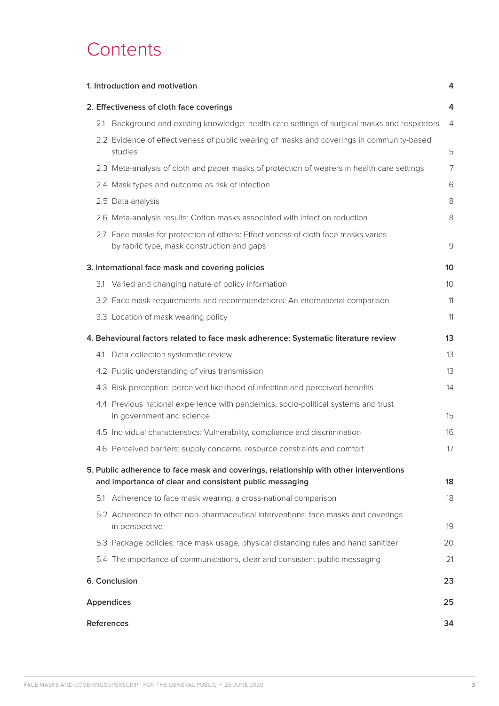# **Contents**

| 1. Introduction and motivation                                                                                                                   | 4               |
|--------------------------------------------------------------------------------------------------------------------------------------------------|-----------------|
| 2. Effectiveness of cloth face coverings                                                                                                         | 4               |
| 2.1 Background and existing knowledge: health care settings of surgical masks and respirators                                                    | 4               |
| 2.2 Evidence of effectiveness of public wearing of masks and coverings in community-based<br>studies                                             | 5               |
| 2.3 Meta-analysis of cloth and paper masks of protection of wearers in health care settings                                                      | 7               |
| 2.4 Mask types and outcome as risk of infection                                                                                                  | 6               |
| 2.5 Data analysis                                                                                                                                | 8               |
| 2.6 Meta-analysis results: Cotton masks associated with infection reduction                                                                      | 8               |
| 2.7 Face masks for protection of others: Effectiveness of cloth face masks varies<br>by fabric type, mask construction and gaps                  | 9               |
| 3. International face mask and covering policies                                                                                                 | 10              |
| 3.1 Varied and changing nature of policy information                                                                                             | 10 <sup>°</sup> |
| 3.2 Face mask requirements and recommendations: An international comparison                                                                      | 11              |
| 3.3 Location of mask wearing policy                                                                                                              | 11              |
| 4. Behavioural factors related to face mask adherence: Systematic literature review                                                              | 13              |
| 4.1 Data collection systematic review                                                                                                            | 13              |
| 4.2 Public understanding of virus transmission                                                                                                   | 13              |
| 4.3 Risk perception: perceived likelihood of infection and perceived benefits                                                                    | 14              |
| 4.4 Previous national experience with pandemics, socio-political systems and trust<br>in government and science                                  | 15              |
| 4.5 Individual characteristics: Vulnerability, compliance and discrimination                                                                     | 16              |
| 4.6 Perceived barriers: supply concerns, resource constraints and comfort                                                                        | 17              |
| 5. Public adherence to face mask and coverings, relationship with other interventions<br>and importance of clear and consistent public messaging | 18              |
| 5.1 Adherence to face mask wearing: a cross-national comparison                                                                                  | 18              |
| 5.2 Adherence to other non-pharmaceutical interventions: face masks and coverings<br>in perspective                                              | 19              |
| 5.3 Package policies: face mask usage, physical distancing rules and hand sanitizer                                                              | 20              |
| 5.4 The importance of communications, clear and consistent public messaging                                                                      | 21              |
| 6. Conclusion                                                                                                                                    | 23              |
| <b>Appendices</b>                                                                                                                                | 25              |
| <b>References</b>                                                                                                                                | 34              |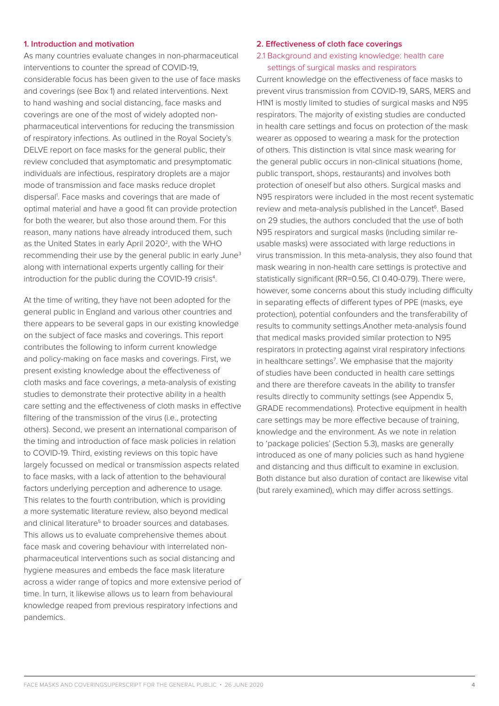#### **1. Introduction and motivation**

As many countries evaluate changes in non-pharmaceutical interventions to counter the spread of COVID-19, considerable focus has been given to the use of face masks and coverings (see Box 1) and related interventions. Next to hand washing and social distancing, face masks and coverings are one of the most of widely adopted nonpharmaceutical interventions for reducing the transmission of respiratory infections. As outlined in the Royal Society's DELVE report on face masks for the general public, their review concluded that asymptomatic and presymptomatic individuals are infectious, respiratory droplets are a major mode of transmission and face masks reduce droplet dispersal<sup>1</sup>. Face masks and coverings that are made of optimal material and have a good fit can provide protection for both the wearer, but also those around them. For this reason, many nations have already introduced them, such as the United States in early April 2020<sup>2</sup>, with the WHO recommending their use by the general public in early June<sup>3</sup> along with international experts urgently calling for their introduction for the public during the COVID-19 crisis<sup>4</sup>.

At the time of writing, they have not been adopted for the general public in England and various other countries and there appears to be several gaps in our existing knowledge on the subject of face masks and coverings. This report contributes the following to inform current knowledge and policy-making on face masks and coverings. First, we present existing knowledge about the effectiveness of cloth masks and face coverings, a meta-analysis of existing studies to demonstrate their protective ability in a health care setting and the effectiveness of cloth masks in effective filtering of the transmission of the virus (i.e., protecting others). Second, we present an international comparison of the timing and introduction of face mask policies in relation to COVID-19. Third, existing reviews on this topic have largely focussed on medical or transmission aspects related to face masks, with a lack of attention to the behavioural factors underlying perception and adherence to usage. This relates to the fourth contribution, which is providing a more systematic literature review, also beyond medical and clinical literature<sup>5</sup> to broader sources and databases. This allows us to evaluate comprehensive themes about face mask and covering behaviour with interrelated nonpharmaceutical interventions such as social distancing and hygiene measures and embeds the face mask literature across a wider range of topics and more extensive period of time. In turn, it likewise allows us to learn from behavioural knowledge reaped from previous respiratory infections and pandemics.

#### **2. Effectiveness of cloth face coverings**

2.1 Background and existing knowledge: health care settings of surgical masks and respirators

Current knowledge on the effectiveness of face masks to prevent virus transmission from COVID-19, SARS, MERS and H1N1 is mostly limited to studies of surgical masks and N95 respirators. The majority of existing studies are conducted in health care settings and focus on protection of the mask wearer as opposed to wearing a mask for the protection of others. This distinction is vital since mask wearing for the general public occurs in non-clinical situations (home, public transport, shops, restaurants) and involves both protection of oneself but also others. Surgical masks and N95 respirators were included in the most recent systematic review and meta-analysis published in the Lancet<sup>6</sup>. Based on 29 studies, the authors concluded that the use of both N95 respirators and surgical masks (including similar reusable masks) were associated with large reductions in virus transmission. In this meta-analysis, they also found that mask wearing in non-health care settings is protective and statistically significant (RR=0.56, CI 0.40-0.79). There were, however, some concerns about this study including difficulty in separating effects of different types of PPE (masks, eye protection), potential confounders and the transferability of results to community settings.Another meta-analysis found that medical masks provided similar protection to N95 respirators in protecting against viral respiratory infections in healthcare settings<sup>7</sup>. We emphasise that the majority of studies have been conducted in health care settings and there are therefore caveats in the ability to transfer results directly to community settings (see Appendix 5, GRADE recommendations). Protective equipment in health care settings may be more effective because of training, knowledge and the environment. As we note in relation to 'package policies' (Section 5.3), masks are generally introduced as one of many policies such as hand hygiene and distancing and thus difficult to examine in exclusion. Both distance but also duration of contact are likewise vital (but rarely examined), which may differ across settings.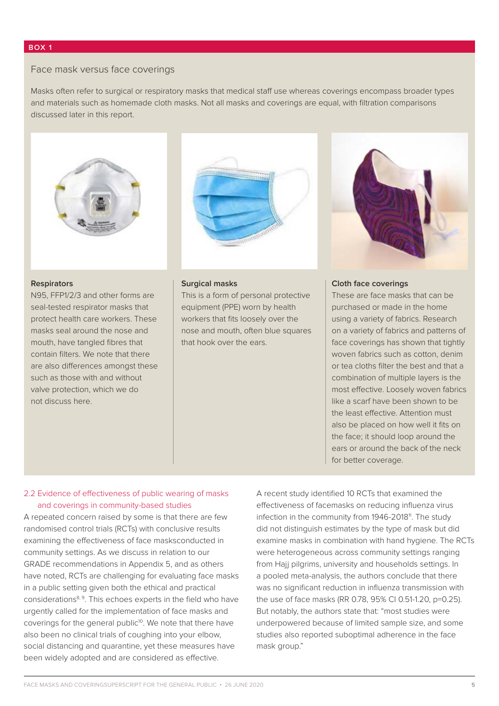### Face mask versus face coverings

Masks often refer to surgical or respiratory masks that medical staff use whereas coverings encompass broader types and materials such as homemade cloth masks. Not all masks and coverings are equal, with filtration comparisons discussed later in this report.



#### **Respirators**

N95, FFP1/2/3 and other forms are seal-tested respirator masks that protect health care workers. These masks seal around the nose and mouth, have tangled fibres that contain filters. We note that there are also differences amongst these such as those with and without valve protection, which we do not discuss here.



#### **Surgical masks**

This is a form of personal protective equipment (PPE) worn by health workers that fits loosely over the nose and mouth, often blue squares that hook over the ears.



#### **Cloth face coverings**

These are face masks that can be purchased or made in the home using a variety of fabrics. Research on a variety of fabrics and patterns of face coverings has shown that tightly woven fabrics such as cotton, denim or tea cloths filter the best and that a combination of multiple layers is the most effective. Loosely woven fabrics like a scarf have been shown to be the least effective. Attention must also be placed on how well it fits on the face; it should loop around the ears or around the back of the neck for better coverage.

#### 2.2 Evidence of effectiveness of public wearing of masks and coverings in community-based studies

A repeated concern raised by some is that there are few randomised control trials (RCTs) with conclusive results examining the effectiveness of face masksconducted in community settings. As we discuss in relation to our GRADE recommendations in Appendix 5, and as others have noted, RCTs are challenging for evaluating face masks in a public setting given both the ethical and practical considerations8, 9. This echoes experts in the field who have urgently called for the implementation of face masks and coverings for the general public<sup>10</sup>. We note that there have also been no clinical trials of coughing into your elbow, social distancing and quarantine, yet these measures have been widely adopted and are considered as effective.

A recent study identified 10 RCTs that examined the effectiveness of facemasks on reducing influenza virus infection in the community from 1946-2018<sup>11</sup>. The study did not distinguish estimates by the type of mask but did examine masks in combination with hand hygiene. The RCTs were heterogeneous across community settings ranging from Hajj pilgrims, university and households settings. In a pooled meta-analysis, the authors conclude that there was no significant reduction in influenza transmission with the use of face masks (RR 0.78, 95% CI 0.51-1.20, p=0.25). But notably, the authors state that: "most studies were underpowered because of limited sample size, and some studies also reported suboptimal adherence in the face mask group."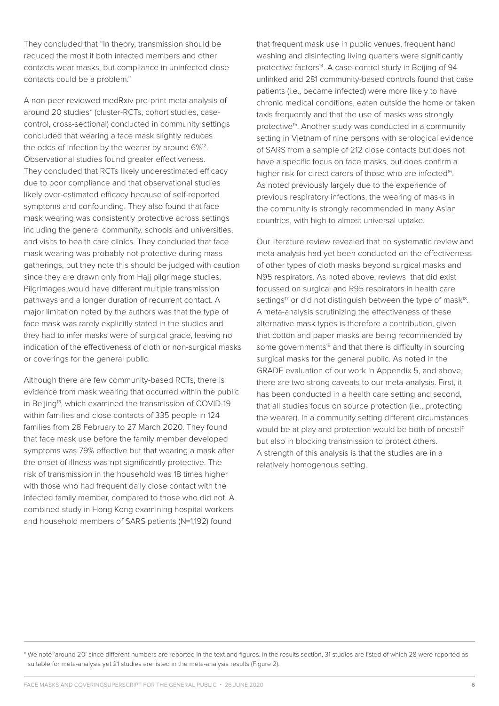They concluded that "In theory, transmission should be reduced the most if both infected members and other contacts wear masks, but compliance in uninfected close contacts could be a problem."

A non-peer reviewed medRxiv pre-print meta-analysis of around 20 studies\* (cluster-RCTs, cohort studies, casecontrol, cross-sectional) conducted in community settings concluded that wearing a face mask slightly reduces the odds of infection by the wearer by around 6%<sup>12</sup>. Observational studies found greater effectiveness. They concluded that RCTs likely underestimated efficacy due to poor compliance and that observational studies likely over-estimated efficacy because of self-reported symptoms and confounding. They also found that face mask wearing was consistently protective across settings including the general community, schools and universities, and visits to health care clinics. They concluded that face mask wearing was probably not protective during mass gatherings, but they note this should be judged with caution since they are drawn only from Hajj pilgrimage studies. Pilgrimages would have different multiple transmission pathways and a longer duration of recurrent contact. A major limitation noted by the authors was that the type of face mask was rarely explicitly stated in the studies and they had to infer masks were of surgical grade, leaving no indication of the effectiveness of cloth or non-surgical masks or coverings for the general public.

Although there are few community-based RCTs, there is evidence from mask wearing that occurred within the public in Beijing<sup>13</sup>, which examined the transmission of COVID-19 within families and close contacts of 335 people in 124 families from 28 February to 27 March 2020. They found that face mask use before the family member developed symptoms was 79% effective but that wearing a mask after the onset of illness was not significantly protective. The risk of transmission in the household was 18 times higher with those who had frequent daily close contact with the infected family member, compared to those who did not. A combined study in Hong Kong examining hospital workers and household members of SARS patients (N=1,192) found

that frequent mask use in public venues, frequent hand washing and disinfecting living quarters were significantly protective factors<sup>14</sup>. A case-control study in Beijing of 94 unlinked and 281 community-based controls found that case patients (i.e., became infected) were more likely to have chronic medical conditions, eaten outside the home or taken taxis frequently and that the use of masks was strongly protective<sup>15</sup>. Another study was conducted in a community setting in Vietnam of nine persons with serological evidence of SARS from a sample of 212 close contacts but does not have a specific focus on face masks, but does confirm a higher risk for direct carers of those who are infected<sup>16</sup>. As noted previously largely due to the experience of previous respiratory infections, the wearing of masks in the community is strongly recommended in many Asian countries, with high to almost universal uptake.

Our literature review revealed that no systematic review and meta-analysis had yet been conducted on the effectiveness of other types of cloth masks beyond surgical masks and N95 respirators. As noted above, reviews that did exist focussed on surgical and R95 respirators in health care settings<sup>17</sup> or did not distinguish between the type of mask<sup>18</sup>. A meta-analysis scrutinizing the effectiveness of these alternative mask types is therefore a contribution, given that cotton and paper masks are being recommended by some governments<sup>19</sup> and that there is difficulty in sourcing surgical masks for the general public. As noted in the GRADE evaluation of our work in Appendix 5, and above, there are two strong caveats to our meta-analysis. First, it has been conducted in a health care setting and second, that all studies focus on source protection (i.e., protecting the wearer). In a community setting different circumstances would be at play and protection would be both of oneself but also in blocking transmission to protect others. A strength of this analysis is that the studies are in a relatively homogenous setting.

\* We note 'around 20' since different numbers are reported in the text and figures. In the results section, 31 studies are listed of which 28 were reported as suitable for meta-analysis yet 21 studies are listed in the meta-analysis results (Figure 2).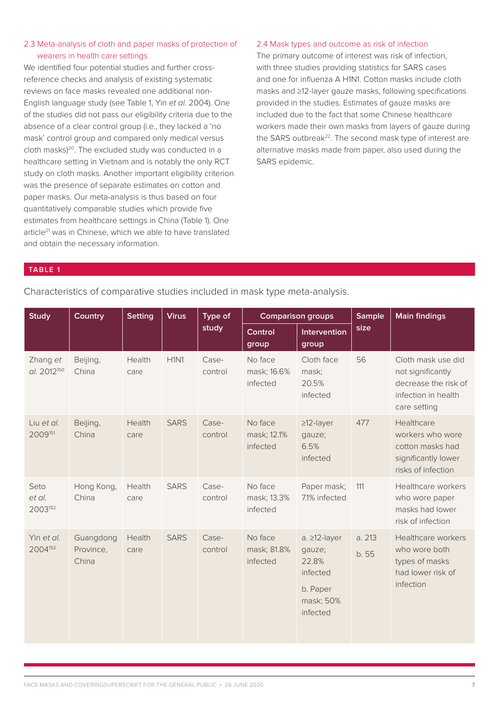## 2.3 Meta-analysis of cloth and paper masks of protection of wearers in health care settings

We identified four potential studies and further crossreference checks and analysis of existing systematic reviews on face masks revealed one additional non-English language study (see Table 1, Yin *et al.* 2004). One of the studies did not pass our eligibility criteria due to the absence of a clear control group (i.e., they lacked a 'no mask' control group and compared only medical versus cloth masks)<sup>20</sup>. The excluded study was conducted in a healthcare setting in Vietnam and is notably the only RCT study on cloth masks. Another important eligibility criterion was the presence of separate estimates on cotton and paper masks. Our meta-analysis is thus based on four quantitatively comparable studies which provide five estimates from healthcare settings in China (Table 1). One article<sup>21</sup> was in Chinese, which we able to have translated and obtain the necessary information.

#### 2.4 Mask types and outcome as risk of infection

The primary outcome of interest was risk of infection, with three studies providing statistics for SARS cases and one for influenza A H1N1. Cotton masks include cloth masks and ≥12-layer gauze masks, following specifications provided in the studies. Estimates of gauze masks are included due to the fact that some Chinese healthcare workers made their own masks from layers of gauze during the SARS outbreak<sup>22</sup>. The second mask type of interest are alternative masks made from paper, also used during the SARS epidemic.

#### **TABLE 1**

## Characteristics of comparative studies included in mask type meta-analysis.

| <b>Study</b>                        | Country                         | <b>Setting</b> | <b>Virus</b> | Type of<br>study | <b>Comparison groups</b>           |                                                                                  | <b>Sample</b>   | <b>Main findings</b>                                                                                   |
|-------------------------------------|---------------------------------|----------------|--------------|------------------|------------------------------------|----------------------------------------------------------------------------------|-----------------|--------------------------------------------------------------------------------------------------------|
|                                     |                                 |                |              |                  | Control<br>group                   | Intervention<br>group                                                            | size            |                                                                                                        |
| Zhang et<br>al. 2012 <sup>150</sup> | Beijing,<br>China               | Health<br>care | H1N1         | Case-<br>control | No face<br>mask; 16.6%<br>infected | Cloth face<br>mask;<br>20.5%<br>infected                                         | 56              | Cloth mask use did<br>not significantly<br>decrease the risk of<br>infection in health<br>care setting |
| Liu et al.<br>2009151               | Beijing,<br>China               | Health<br>care | <b>SARS</b>  | Case-<br>control | No face<br>mask; 12.1%<br>infected | $\geq$ 12-layer<br>gauze;<br>6.5%<br>infected                                    | 477             | Healthcare<br>workers who wore<br>cotton masks had<br>significantly lower<br>risks of infection        |
| Seto<br>et al.<br>2003152           | Hong Kong,<br>China             | Health<br>care | <b>SARS</b>  | Case-<br>control | No face<br>mask; 13.3%<br>infected | Paper mask;<br>7.1% infected                                                     | 111             | Healthcare workers<br>who wore paper<br>masks had lower<br>risk of infection                           |
| Yin et al.<br>2004 <sup>153</sup>   | Guangdong<br>Province,<br>China | Health<br>care | <b>SARS</b>  | Case-<br>control | No face<br>mask; 81.8%<br>infected | a. ≥12-layer<br>gauze;<br>22.8%<br>infected<br>b. Paper<br>mask; 50%<br>infected | a. 213<br>b. 55 | Healthcare workers<br>who wore both<br>types of masks<br>had lower risk of<br>infection                |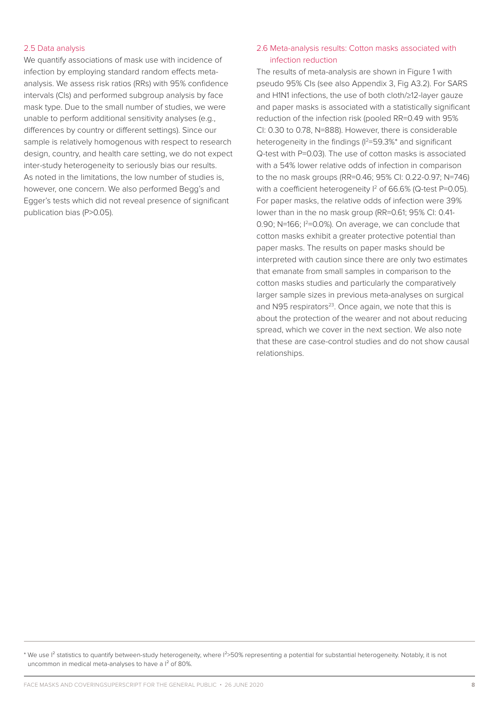#### 2.5 Data analysis

We quantify associations of mask use with incidence of infection by employing standard random effects metaanalysis. We assess risk ratios (RRs) with 95% confidence intervals (CIs) and performed subgroup analysis by face mask type. Due to the small number of studies, we were unable to perform additional sensitivity analyses (e.g., differences by country or different settings). Since our sample is relatively homogenous with respect to research design, country, and health care setting, we do not expect inter-study heterogeneity to seriously bias our results. As noted in the limitations, the low number of studies is, however, one concern. We also performed Begg's and Egger's tests which did not reveal presence of significant publication bias (P>0.05).

#### 2.6 Meta-analysis results: Cotton masks associated with infection reduction

The results of meta-analysis are shown in Figure 1 with pseudo 95% CIs (see also Appendix 3, Fig A3.2). For SARS and H1N1 infections, the use of both cloth/≥12-layer gauze and paper masks is associated with a statistically significant reduction of the infection risk (pooled RR=0.49 with 95% CI: 0.30 to 0.78, N=888). However, there is considerable heterogeneity in the findings  $(1^2=59.3\%)^*$  and significant Q-test with P=0.03). The use of cotton masks is associated with a 54% lower relative odds of infection in comparison to the no mask groups (RR=0.46; 95% CI: 0.22-0.97; N=746) with a coefficient heterogeneity  $1^2$  of 66.6% (Q-test P=0.05). For paper masks, the relative odds of infection were 39% lower than in the no mask group (RR=0.61; 95% CI: 0.41- 0.90; N=166;  $12$ =0.0%). On average, we can conclude that cotton masks exhibit a greater protective potential than paper masks. The results on paper masks should be interpreted with caution since there are only two estimates that emanate from small samples in comparison to the cotton masks studies and particularly the comparatively larger sample sizes in previous meta-analyses on surgical and N95 respirators<sup>23</sup>. Once again, we note that this is about the protection of the wearer and not about reducing spread, which we cover in the next section. We also note that these are case-control studies and do not show causal relationships.

\* We use I<sup>2</sup> statistics to quantify between-study heterogeneity, where I<sup>2</sup>>50% representing a potential for substantial heterogeneity. Notably, it is not uncommon in medical meta-analyses to have a I² of 80%.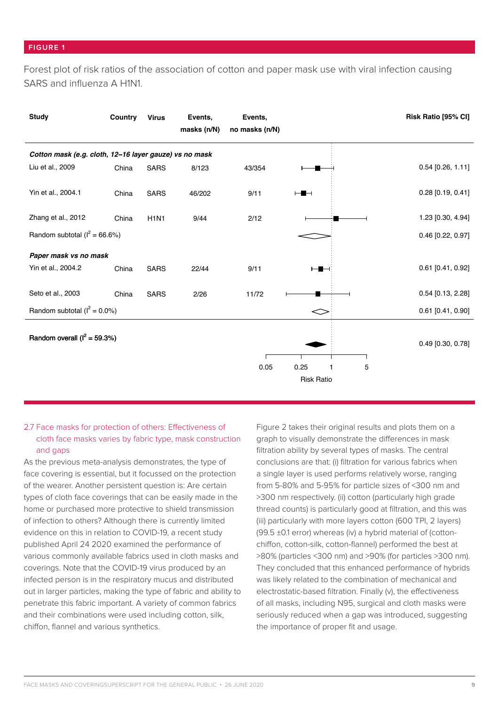Forest plot of risk ratios of the association of cotton and paper mask use with viral infection causing SARS and influenza A H1N1.

| <b>Study</b>                                           | Country | <b>Virus</b> | Events,<br>masks (n/N) | Events,<br>no masks (n/N) |                   |   | Risk Ratio [95% CI] |  |  |
|--------------------------------------------------------|---------|--------------|------------------------|---------------------------|-------------------|---|---------------------|--|--|
| Cotton mask (e.g. cloth, 12-16 layer gauze) vs no mask |         |              |                        |                           |                   |   |                     |  |  |
| Liu et al., 2009                                       | China   | <b>SARS</b>  | 8/123                  | 43/354                    |                   |   | $0.54$ [0.26, 1.11] |  |  |
| Yin et al., 2004.1                                     | China   | <b>SARS</b>  | 46/202                 | 9/11                      | ⊢∎⊣               |   | $0.28$ [0.19, 0.41] |  |  |
| Zhang et al., 2012                                     | China   | <b>H1N1</b>  | 9/44                   | 2/12                      |                   |   | 1.23 [0.30, 4.94]   |  |  |
| Random subtotal ( $I^2 = 66.6\%)$                      |         |              |                        |                           |                   |   | $0.46$ [0.22, 0.97] |  |  |
| Paper mask vs no mask                                  |         |              |                        |                           |                   |   |                     |  |  |
| Yin et al., 2004.2                                     | China   | <b>SARS</b>  | 22/44                  | 9/11                      | ╺╸                |   | $0.61$ [0.41, 0.92] |  |  |
| Seto et al., 2003                                      | China   | <b>SARS</b>  | 2/26                   | 11/72                     |                   |   | $0.54$ [0.13, 2.28] |  |  |
| Random subtotal ( $I^2 = 0.0\%$ )                      |         |              |                        |                           | ⊂                 |   | $0.61$ [0.41, 0.90] |  |  |
| Random overall ( $I^2 = 59.3\%)$                       |         |              |                        |                           |                   |   | $0.49$ [0.30, 0.78] |  |  |
|                                                        |         |              |                        | 0.05                      | 0.25<br>1         | 5 |                     |  |  |
|                                                        |         |              |                        |                           | <b>Risk Ratio</b> |   |                     |  |  |

## 2.7 Face masks for protection of others: Effectiveness of cloth face masks varies by fabric type, mask construction and gaps

As the previous meta-analysis demonstrates, the type of face covering is essential, but it focussed on the protection of the wearer. Another persistent question is: Are certain types of cloth face coverings that can be easily made in the home or purchased more protective to shield transmission of infection to others? Although there is currently limited evidence on this in relation to COVID-19, a recent study published April 24 2020 examined the performance of various commonly available fabrics used in cloth masks and coverings. Note that the COVID-19 virus produced by an infected person is in the respiratory mucus and distributed out in larger particles, making the type of fabric and ability to penetrate this fabric important. A variety of common fabrics and their combinations were used including cotton, silk, chiffon, flannel and various synthetics.

Figure 2 takes their original results and plots them on a graph to visually demonstrate the differences in mask filtration ability by several types of masks. The central conclusions are that: (i) filtration for various fabrics when a single layer is used performs relatively worse, ranging from 5-80% and 5-95% for particle sizes of <300 nm and >300 nm respectively. (ii) cotton (particularly high grade thread counts) is particularly good at filtration, and this was (iii) particularly with more layers cotton (600 TPI, 2 layers) (99.5 ±0.1 error) whereas (iv) a hybrid material of (cottonchiffon, cotton-silk, cotton-flannel) performed the best at >80% (particles <300 nm) and >90% (for particles >300 nm). They concluded that this enhanced performance of hybrids was likely related to the combination of mechanical and electrostatic-based filtration. Finally (v), the effectiveness of all masks, including N95, surgical and cloth masks were seriously reduced when a gap was introduced, suggesting the importance of proper fit and usage.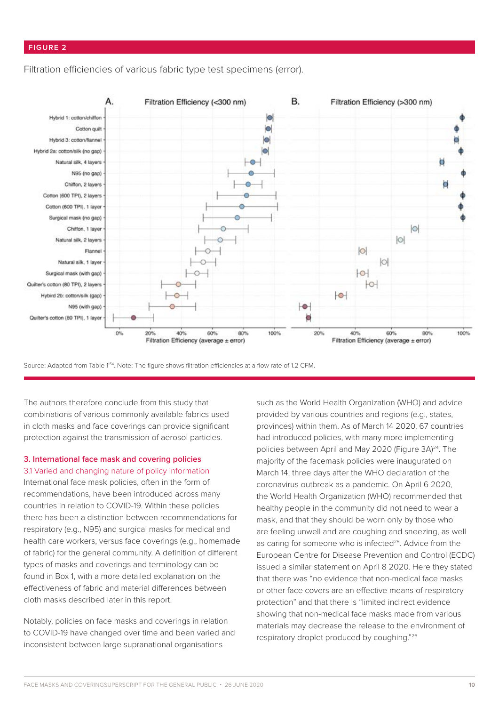#### **FIGURE 2**

Filtration efficiencies of various fabric type test specimens (error).



Source: Adapted from Table 1<sup>54</sup>. Note: The figure shows filtration efficiencies at a flow rate of 1.2 CFM.

The authors therefore conclude from this study that combinations of various commonly available fabrics used in cloth masks and face coverings can provide significant protection against the transmission of aerosol particles.

#### **3. International face mask and covering policies** 3.1 Varied and changing nature of policy information

International face mask policies, often in the form of recommendations, have been introduced across many countries in relation to COVID-19. Within these policies there has been a distinction between recommendations for respiratory (e.g., N95) and surgical masks for medical and health care workers, versus face coverings (e.g., homemade of fabric) for the general community. A definition of different types of masks and coverings and terminology can be found in Box 1, with a more detailed explanation on the effectiveness of fabric and material differences between cloth masks described later in this report.

Notably, policies on face masks and coverings in relation to COVID-19 have changed over time and been varied and inconsistent between large supranational organisations

such as the World Health Organization (WHO) and advice provided by various countries and regions (e.g., states, provinces) within them. As of March 14 2020, 67 countries had introduced policies, with many more implementing policies between April and May 2020 (Figure 3A)<sup>24</sup>. The majority of the facemask policies were inaugurated on March 14, three days after the WHO declaration of the coronavirus outbreak as a pandemic. On April 6 2020, the World Health Organization (WHO) recommended that healthy people in the community did not need to wear a mask, and that they should be worn only by those who are feeling unwell and are coughing and sneezing, as well as caring for someone who is infected<sup>25</sup>. Advice from the European Centre for Disease Prevention and Control (ECDC) issued a similar statement on April 8 2020. Here they stated that there was "no evidence that non-medical face masks or other face covers are an effective means of respiratory protection" and that there is "limited indirect evidence showing that non-medical face masks made from various materials may decrease the release to the environment of respiratory droplet produced by coughing."26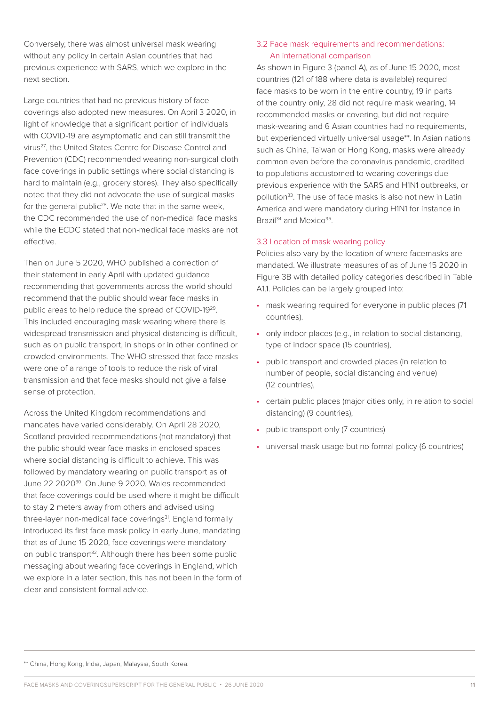Conversely, there was almost universal mask wearing without any policy in certain Asian countries that had previous experience with SARS, which we explore in the next section.

Large countries that had no previous history of face coverings also adopted new measures. On April 3 2020, in light of knowledge that a significant portion of individuals with COVID-19 are asymptomatic and can still transmit the virus27, the United States Centre for Disease Control and Prevention (CDC) recommended wearing non-surgical cloth face coverings in public settings where social distancing is hard to maintain (e.g., grocery stores). They also specifically noted that they did not advocate the use of surgical masks for the general public<sup>28</sup>. We note that in the same week, the CDC recommended the use of non-medical face masks while the ECDC stated that non-medical face masks are not effective.

Then on June 5 2020, WHO published a correction of their statement in early April with updated guidance recommending that governments across the world should recommend that the public should wear face masks in public areas to help reduce the spread of COVID-1929. This included encouraging mask wearing where there is widespread transmission and physical distancing is difficult, such as on public transport, in shops or in other confined or crowded environments. The WHO stressed that face masks were one of a range of tools to reduce the risk of viral transmission and that face masks should not give a false sense of protection.

Across the United Kingdom recommendations and mandates have varied considerably. On April 28 2020, Scotland provided recommendations (not mandatory) that the public should wear face masks in enclosed spaces where social distancing is difficult to achieve. This was followed by mandatory wearing on public transport as of June 22 202030. On June 9 2020, Wales recommended that face coverings could be used where it might be difficult to stay 2 meters away from others and advised using three-layer non-medical face coverings<sup>31</sup>. England formally introduced its first face mask policy in early June, mandating that as of June 15 2020, face coverings were mandatory on public transport<sup>32</sup>. Although there has been some public messaging about wearing face coverings in England, which we explore in a later section, this has not been in the form of clear and consistent formal advice.

### 3.2 Face mask requirements and recommendations: An international comparison

As shown in Figure 3 (panel A), as of June 15 2020, most countries (121 of 188 where data is available) required face masks to be worn in the entire country, 19 in parts of the country only, 28 did not require mask wearing, 14 recommended masks or covering, but did not require mask-wearing and 6 Asian countries had no requirements, but experienced virtually universal usage\*\*. In Asian nations such as China, Taiwan or Hong Kong, masks were already common even before the coronavirus pandemic, credited to populations accustomed to wearing coverings due previous experience with the SARS and H1N1 outbreaks, or pollution<sup>33</sup>. The use of face masks is also not new in Latin America and were mandatory during H1N1 for instance in Brazil<sup>34</sup> and Mexico<sup>35</sup>.

#### 3.3 Location of mask wearing policy

Policies also vary by the location of where facemasks are mandated. We illustrate measures of as of June 15 2020 in Figure 3B with detailed policy categories described in Table A1.1. Policies can be largely grouped into:

- mask wearing required for everyone in public places (71 countries).
- only indoor places (e.g., in relation to social distancing, type of indoor space (15 countries),
- public transport and crowded places (in relation to number of people, social distancing and venue) (12 countries),
- certain public places (major cities only, in relation to social distancing) (9 countries),
- public transport only (7 countries)
- universal mask usage but no formal policy (6 countries)

\*\* China, Hong Kong, India, Japan, Malaysia, South Korea.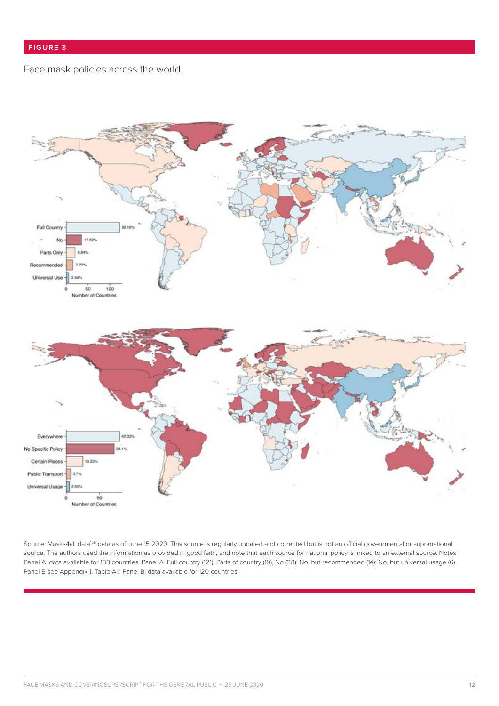## Face mask policies across the world.



Source: Masks4all data<sup>155</sup> data as of June 15 2020. This source is regularly updated and corrected but is not an official governmental or supranational source. The authors used the information as provided in good faith, and note that each source for national policy is linked to an external source. Notes: Panel A, data available for 188 countries. Panel A. Full country (121); Parts of country (19), No (28); No, but recommended (14); No, but universal usage (6). Panel B see Appendix 1, Table A.1. Panel B, data available for 120 countries.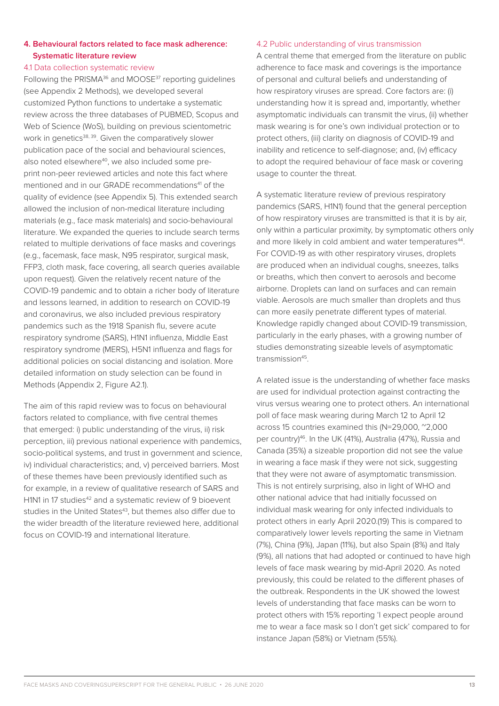## **4. Behavioural factors related to face mask adherence: Systematic literature review**

## 4.1 Data collection systematic review

Following the PRISMA<sup>36</sup> and MOOSE<sup>37</sup> reporting guidelines (see Appendix 2 Methods), we developed several customized Python functions to undertake a systematic review across the three databases of PUBMED, Scopus and Web of Science (WoS), building on previous scientometric work in genetics<sup>38, 39</sup>. Given the comparatively slower publication pace of the social and behavioural sciences, also noted elsewhere<sup>40</sup>, we also included some preprint non-peer reviewed articles and note this fact where mentioned and in our GRADE recommendations<sup>41</sup> of the quality of evidence (see Appendix 5). This extended search allowed the inclusion of non-medical literature including materials (e.g., face mask materials) and socio-behavioural literature. We expanded the queries to include search terms related to multiple derivations of face masks and coverings (e.g., facemask, face mask, N95 respirator, surgical mask, FFP3, cloth mask, face covering, all search queries available upon request). Given the relatively recent nature of the COVID-19 pandemic and to obtain a richer body of literature and lessons learned, in addition to research on COVID-19 and coronavirus, we also included previous respiratory pandemics such as the 1918 Spanish flu, severe acute respiratory syndrome (SARS), H1N1 influenza, Middle East respiratory syndrome (MERS), H5N1 influenza and flags for additional policies on social distancing and isolation. More detailed information on study selection can be found in Methods (Appendix 2, Figure A2.1).

The aim of this rapid review was to focus on behavioural factors related to compliance, with five central themes that emerged: i) public understanding of the virus, ii) risk perception, iii) previous national experience with pandemics, socio-political systems, and trust in government and science, iv) individual characteristics; and, v) perceived barriers. Most of these themes have been previously identified such as for example, in a review of qualitative research of SARS and H1N1 in 17 studies<sup>42</sup> and a systematic review of 9 bioevent studies in the United States<sup>43</sup>, but themes also differ due to the wider breadth of the literature reviewed here, additional focus on COVID-19 and international literature.

#### 4.2 Public understanding of virus transmission

A central theme that emerged from the literature on public adherence to face mask and coverings is the importance of personal and cultural beliefs and understanding of how respiratory viruses are spread. Core factors are: (i) understanding how it is spread and, importantly, whether asymptomatic individuals can transmit the virus, (ii) whether mask wearing is for one's own individual protection or to protect others, (iii) clarity on diagnosis of COVID-19 and inability and reticence to self-diagnose; and, (iv) efficacy to adopt the required behaviour of face mask or covering usage to counter the threat.

A systematic literature review of previous respiratory pandemics (SARS, H1N1) found that the general perception of how respiratory viruses are transmitted is that it is by air, only within a particular proximity, by symptomatic others only and more likely in cold ambient and water temperatures<sup>44</sup>. For COVID-19 as with other respiratory viruses, droplets are produced when an individual coughs, sneezes, talks or breaths, which then convert to aerosols and become airborne. Droplets can land on surfaces and can remain viable. Aerosols are much smaller than droplets and thus can more easily penetrate different types of material. Knowledge rapidly changed about COVID-19 transmission, particularly in the early phases, with a growing number of studies demonstrating sizeable levels of asymptomatic transmission<sup>45</sup>

A related issue is the understanding of whether face masks are used for individual protection against contracting the virus versus wearing one to protect others. An international poll of face mask wearing during March 12 to April 12 across 15 countries examined this (N=29,000, ~2,000 per country)46. In the UK (41%), Australia (47%), Russia and Canada (35%) a sizeable proportion did not see the value in wearing a face mask if they were not sick, suggesting that they were not aware of asymptomatic transmission. This is not entirely surprising, also in light of WHO and other national advice that had initially focussed on individual mask wearing for only infected individuals to protect others in early April 2020.(19) This is compared to comparatively lower levels reporting the same in Vietnam (7%), China (9%), Japan (11%), but also Spain (8%) and Italy (9%), all nations that had adopted or continued to have high levels of face mask wearing by mid-April 2020. As noted previously, this could be related to the different phases of the outbreak. Respondents in the UK showed the lowest levels of understanding that face masks can be worn to protect others with 15% reporting 'I expect people around me to wear a face mask so I don't get sick' compared to for instance Japan (58%) or Vietnam (55%).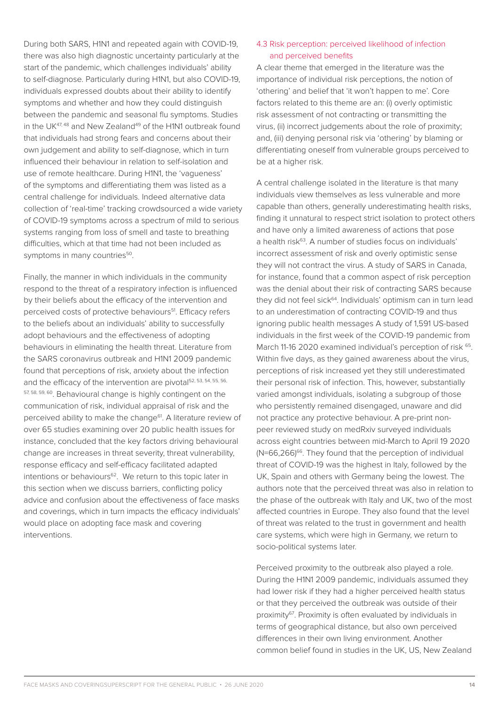During both SARS, H1N1 and repeated again with COVID-19, there was also high diagnostic uncertainty particularly at the start of the pandemic, which challenges individuals' ability to self-diagnose. Particularly during H1N1, but also COVID-19, individuals expressed doubts about their ability to identify symptoms and whether and how they could distinguish between the pandemic and seasonal flu symptoms. Studies in the UK $47,48$  and New Zealand $49$  of the H1N1 outbreak found that individuals had strong fears and concerns about their own judgement and ability to self-diagnose, which in turn influenced their behaviour in relation to self-isolation and use of remote healthcare. During H1N1, the 'vagueness' of the symptoms and differentiating them was listed as a central challenge for individuals. Indeed alternative data collection of 'real-time' tracking crowdsourced a wide variety of COVID-19 symptoms across a spectrum of mild to serious systems ranging from loss of smell and taste to breathing difficulties, which at that time had not been included as symptoms in many countries<sup>50</sup>.

Finally, the manner in which individuals in the community respond to the threat of a respiratory infection is influenced by their beliefs about the efficacy of the intervention and perceived costs of protective behaviours<sup>51</sup>. Efficacy refers to the beliefs about an individuals' ability to successfully adopt behaviours and the effectiveness of adopting behaviours in eliminating the health threat. Literature from the SARS coronavirus outbreak and H1N1 2009 pandemic found that perceptions of risk, anxiety about the infection and the efficacy of the intervention are pivotal<sup>52, 53, 54, 55, 56,</sup> 57, 58, 59, 60. Behavioural change is highly contingent on the communication of risk, individual appraisal of risk and the perceived ability to make the change<sup>61</sup>. A literature review of over 65 studies examining over 20 public health issues for instance, concluded that the key factors driving behavioural change are increases in threat severity, threat vulnerability, response efficacy and self-efficacy facilitated adapted intentions or behaviours<sup>62</sup>. We return to this topic later in this section when we discuss barriers, conflicting policy advice and confusion about the effectiveness of face masks and coverings, which in turn impacts the efficacy individuals' would place on adopting face mask and covering interventions.

## 4.3 Risk perception: perceived likelihood of infection and perceived benefits

A clear theme that emerged in the literature was the importance of individual risk perceptions, the notion of 'othering' and belief that 'it won't happen to me'. Core factors related to this theme are an: (i) overly optimistic risk assessment of not contracting or transmitting the virus, (ii) incorrect judgements about the role of proximity; and, (iii) denying personal risk via 'othering' by blaming or differentiating oneself from vulnerable groups perceived to be at a higher risk.

A central challenge isolated in the literature is that many individuals view themselves as less vulnerable and more capable than others, generally underestimating health risks, finding it unnatural to respect strict isolation to protect others and have only a limited awareness of actions that pose a health risk<sup>63</sup>. A number of studies focus on individuals' incorrect assessment of risk and overly optimistic sense they will not contract the virus. A study of SARS in Canada, for instance, found that a common aspect of risk perception was the denial about their risk of contracting SARS because they did not feel sick<sup>64</sup>. Individuals' optimism can in turn lead to an underestimation of contracting COVID-19 and thus ignoring public health messages A study of 1,591 US-based individuals in the first week of the COVID-19 pandemic from March 11-16 2020 examined individual's perception of risk 65. Within five days, as they gained awareness about the virus, perceptions of risk increased yet they still underestimated their personal risk of infection. This, however, substantially varied amongst individuals, isolating a subgroup of those who persistently remained disengaged, unaware and did not practice any protective behaviour. A pre-print nonpeer reviewed study on medRxiv surveyed individuals across eight countries between mid-March to April 19 2020  $(N=66,266)^{66}$ . They found that the perception of individual threat of COVID-19 was the highest in Italy, followed by the UK, Spain and others with Germany being the lowest. The authors note that the perceived threat was also in relation to the phase of the outbreak with Italy and UK, two of the most affected countries in Europe. They also found that the level of threat was related to the trust in government and health care systems, which were high in Germany, we return to socio-political systems later.

Perceived proximity to the outbreak also played a role. During the H1N1 2009 pandemic, individuals assumed they had lower risk if they had a higher perceived health status or that they perceived the outbreak was outside of their proximity67. Proximity is often evaluated by individuals in terms of geographical distance, but also own perceived differences in their own living environment. Another common belief found in studies in the UK, US, New Zealand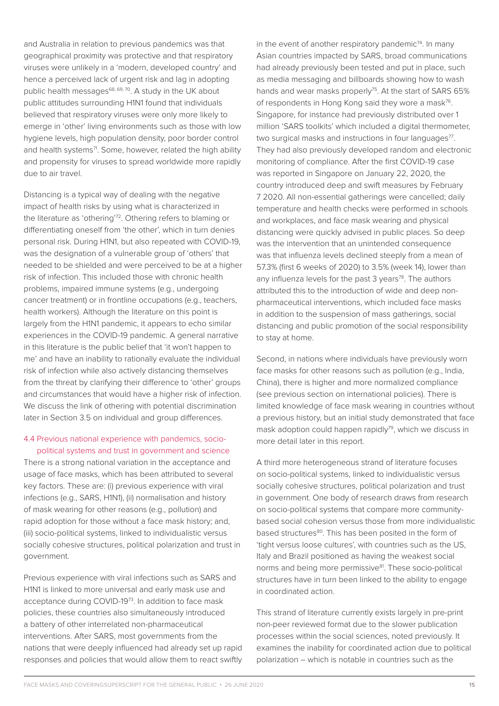and Australia in relation to previous pandemics was that geographical proximity was protective and that respiratory viruses were unlikely in a 'modern, developed country' and hence a perceived lack of urgent risk and lag in adopting public health messages<sup>68, 69, 70</sup>. A study in the UK about public attitudes surrounding H1N1 found that individuals believed that respiratory viruses were only more likely to emerge in 'other' living environments such as those with low hygiene levels, high population density, poor border control and health systems<sup>71</sup>. Some, however, related the high ability and propensity for viruses to spread worldwide more rapidly due to air travel.

Distancing is a typical way of dealing with the negative impact of health risks by using what is characterized in the literature as 'othering'72. Othering refers to blaming or differentiating oneself from 'the other', which in turn denies personal risk. During H1N1, but also repeated with COVID-19, was the designation of a vulnerable group of 'others' that needed to be shielded and were perceived to be at a higher risk of infection. This included those with chronic health problems, impaired immune systems (e.g., undergoing cancer treatment) or in frontline occupations (e.g., teachers, health workers). Although the literature on this point is largely from the H1N1 pandemic, it appears to echo similar experiences in the COVID-19 pandemic. A general narrative in this literature is the public belief that 'it won't happen to me' and have an inability to rationally evaluate the individual risk of infection while also actively distancing themselves from the threat by clarifying their difference to 'other' groups and circumstances that would have a higher risk of infection. We discuss the link of othering with potential discrimination later in Section 3.5 on individual and group differences.

#### 4.4 Previous national experience with pandemics, sociopolitical systems and trust in government and science

There is a strong national variation in the acceptance and usage of face masks, which has been attributed to several key factors. These are: (i) previous experience with viral infections (e.g., SARS, H1N1), (ii) normalisation and history of mask wearing for other reasons (e.g., pollution) and rapid adoption for those without a face mask history; and, (iii) socio-political systems, linked to individualistic versus socially cohesive structures, political polarization and trust in government.

Previous experience with viral infections such as SARS and H1N1 is linked to more universal and early mask use and acceptance during COVID-1973. In addition to face mask policies, these countries also simultaneously introduced a battery of other interrelated non-pharmaceutical interventions. After SARS, most governments from the nations that were deeply influenced had already set up rapid responses and policies that would allow them to react swiftly in the event of another respiratory pandemic $74$ . In many Asian countries impacted by SARS, broad communications had already previously been tested and put in place, such as media messaging and billboards showing how to wash hands and wear masks properly<sup>75</sup>. At the start of SARS 65% of respondents in Hong Kong said they wore a mask<sup>76</sup>. Singapore, for instance had previously distributed over 1 million 'SARS toolkits' which included a digital thermometer, two surgical masks and instructions in four languages $77$ . They had also previously developed random and electronic monitoring of compliance. After the first COVID-19 case was reported in Singapore on January 22, 2020, the country introduced deep and swift measures by February 7 2020. All non-essential gatherings were cancelled; daily temperature and health checks were performed in schools and workplaces, and face mask wearing and physical distancing were quickly advised in public places. So deep was the intervention that an unintended consequence was that influenza levels declined steeply from a mean of 57.3% (first 6 weeks of 2020) to 3.5% (week 14), lower than any influenza levels for the past  $3$  years<sup>78</sup>. The authors attributed this to the introduction of wide and deep nonpharmaceutical interventions, which included face masks in addition to the suspension of mass gatherings, social distancing and public promotion of the social responsibility to stay at home.

Second, in nations where individuals have previously worn face masks for other reasons such as pollution (e.g., India, China), there is higher and more normalized compliance (see previous section on international policies). There is limited knowledge of face mask wearing in countries without a previous history, but an initial study demonstrated that face mask adoption could happen rapidly<sup>79</sup>, which we discuss in more detail later in this report.

A third more heterogeneous strand of literature focuses on socio-political systems, linked to individualistic versus socially cohesive structures, political polarization and trust in government. One body of research draws from research on socio-political systems that compare more communitybased social cohesion versus those from more individualistic based structures<sup>80</sup>. This has been posited in the form of 'tight versus loose cultures', with countries such as the US, Italy and Brazil positioned as having the weakest social norms and being more permissive81. These socio-political structures have in turn been linked to the ability to engage in coordinated action.

This strand of literature currently exists largely in pre-print non-peer reviewed format due to the slower publication processes within the social sciences, noted previously. It examines the inability for coordinated action due to political polarization – which is notable in countries such as the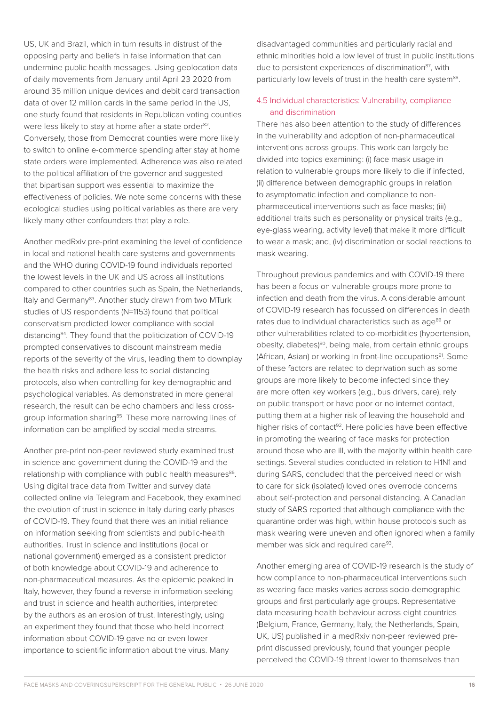US, UK and Brazil, which in turn results in distrust of the opposing party and beliefs in false information that can undermine public health messages. Using geolocation data of daily movements from January until April 23 2020 from around 35 million unique devices and debit card transaction data of over 12 million cards in the same period in the US, one study found that residents in Republican voting counties were less likely to stay at home after a state order<sup>82</sup>. Conversely, those from Democrat counties were more likely to switch to online e-commerce spending after stay at home state orders were implemented. Adherence was also related to the political affiliation of the governor and suggested that bipartisan support was essential to maximize the effectiveness of policies. We note some concerns with these ecological studies using political variables as there are very likely many other confounders that play a role.

Another medRxiv pre-print examining the level of confidence in local and national health care systems and governments and the WHO during COVID-19 found individuals reported the lowest levels in the UK and US across all institutions compared to other countries such as Spain, the Netherlands, Italy and Germany<sup>83</sup>. Another study drawn from two MTurk studies of US respondents (N=1153) found that political conservatism predicted lower compliance with social distancing84. They found that the politicization of COVID-19 prompted conservatives to discount mainstream media reports of the severity of the virus, leading them to downplay the health risks and adhere less to social distancing protocols, also when controlling for key demographic and psychological variables. As demonstrated in more general research, the result can be echo chambers and less crossgroup information sharing<sup>85</sup>. These more narrowing lines of information can be amplified by social media streams.

Another pre-print non-peer reviewed study examined trust in science and government during the COVID-19 and the relationship with compliance with public health measures<sup>86</sup>. Using digital trace data from Twitter and survey data collected online via Telegram and Facebook, they examined the evolution of trust in science in Italy during early phases of COVID-19. They found that there was an initial reliance on information seeking from scientists and public-health authorities. Trust in science and institutions (local or national government) emerged as a consistent predictor of both knowledge about COVID-19 and adherence to non-pharmaceutical measures. As the epidemic peaked in Italy, however, they found a reverse in information seeking and trust in science and health authorities, interpreted by the authors as an erosion of trust. Interestingly, using an experiment they found that those who held incorrect information about COVID-19 gave no or even lower importance to scientific information about the virus. Many

disadvantaged communities and particularly racial and ethnic minorities hold a low level of trust in public institutions due to persistent experiences of discrimination<sup>87</sup>, with particularly low levels of trust in the health care system<sup>88</sup>.

## 4.5 Individual characteristics: Vulnerability, compliance and discrimination

There has also been attention to the study of differences in the vulnerability and adoption of non-pharmaceutical interventions across groups. This work can largely be divided into topics examining: (i) face mask usage in relation to vulnerable groups more likely to die if infected, (ii) difference between demographic groups in relation to asymptomatic infection and compliance to nonpharmaceutical interventions such as face masks; (iii) additional traits such as personality or physical traits (e.g., eye-glass wearing, activity level) that make it more difficult to wear a mask; and, (iv) discrimination or social reactions to mask wearing.

Throughout previous pandemics and with COVID-19 there has been a focus on vulnerable groups more prone to infection and death from the virus. A considerable amount of COVID-19 research has focussed on differences in death rates due to individual characteristics such as age<sup>89</sup> or other vulnerabilities related to co-morbidities (hypertension, obesity, diabetes)90, being male, from certain ethnic groups (African, Asian) or working in front-line occupations<sup>91</sup>. Some of these factors are related to deprivation such as some groups are more likely to become infected since they are more often key workers (e.g., bus drivers, care), rely on public transport or have poor or no internet contact, putting them at a higher risk of leaving the household and higher risks of contact<sup>92</sup>. Here policies have been effective in promoting the wearing of face masks for protection around those who are ill, with the majority within health care settings. Several studies conducted in relation to H1N1 and during SARS, concluded that the perceived need or wish to care for sick (isolated) loved ones overrode concerns about self-protection and personal distancing. A Canadian study of SARS reported that although compliance with the quarantine order was high, within house protocols such as mask wearing were uneven and often ignored when a family member was sick and required care<sup>93</sup>.

Another emerging area of COVID-19 research is the study of how compliance to non-pharmaceutical interventions such as wearing face masks varies across socio-demographic groups and first particularly age groups. Representative data measuring health behaviour across eight countries (Belgium, France, Germany, Italy, the Netherlands, Spain, UK, US) published in a medRxiv non-peer reviewed preprint discussed previously, found that younger people perceived the COVID-19 threat lower to themselves than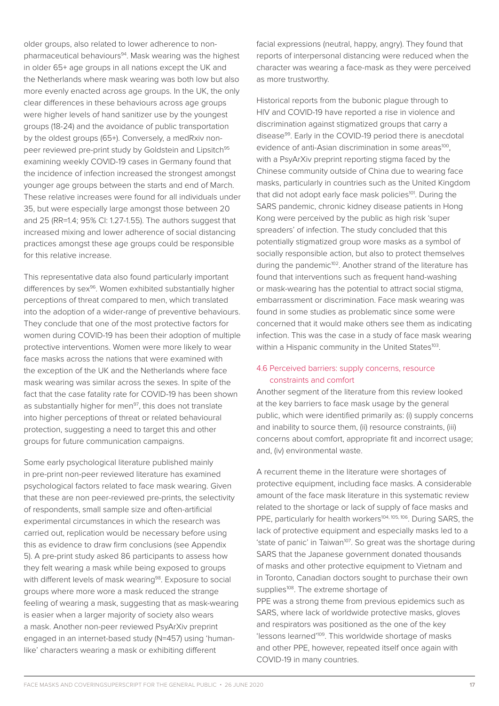older groups, also related to lower adherence to nonpharmaceutical behaviours<sup>94</sup>. Mask wearing was the highest in older 65+ age groups in all nations except the UK and the Netherlands where mask wearing was both low but also more evenly enacted across age groups. In the UK, the only clear differences in these behaviours across age groups were higher levels of hand sanitizer use by the youngest groups (18-24) and the avoidance of public transportation by the oldest groups (65+). Conversely, a medRxiv nonpeer reviewed pre-print study by Goldstein and Lipsitch<sup>95</sup> examining weekly COVID-19 cases in Germany found that the incidence of infection increased the strongest amongst younger age groups between the starts and end of March. These relative increases were found for all individuals under 35, but were especially large amongst those between 20 and 25 (RR=1.4; 95% CI: 1.27-1.55). The authors suggest that increased mixing and lower adherence of social distancing practices amongst these age groups could be responsible for this relative increase.

This representative data also found particularly important differences by sex<sup>96</sup>. Women exhibited substantially higher perceptions of threat compared to men, which translated into the adoption of a wider-range of preventive behaviours. They conclude that one of the most protective factors for women during COVID-19 has been their adoption of multiple protective interventions. Women were more likely to wear face masks across the nations that were examined with the exception of the UK and the Netherlands where face mask wearing was similar across the sexes. In spite of the fact that the case fatality rate for COVID-19 has been shown as substantially higher for men<sup>97</sup>, this does not translate into higher perceptions of threat or related behavioural protection, suggesting a need to target this and other groups for future communication campaigns.

Some early psychological literature published mainly in pre-print non-peer reviewed literature has examined psychological factors related to face mask wearing. Given that these are non peer-reviewed pre-prints, the selectivity of respondents, small sample size and often-artificial experimental circumstances in which the research was carried out, replication would be necessary before using this as evidence to draw firm conclusions (see Appendix 5). A pre-print study asked 86 participants to assess how they felt wearing a mask while being exposed to groups with different levels of mask wearing<sup>98</sup>. Exposure to social groups where more wore a mask reduced the strange feeling of wearing a mask, suggesting that as mask-wearing is easier when a larger majority of society also wears a mask. Another non-peer reviewed PsyArXiv preprint engaged in an internet-based study (N=457) using 'humanlike' characters wearing a mask or exhibiting different

facial expressions (neutral, happy, angry). They found that reports of interpersonal distancing were reduced when the character was wearing a face-mask as they were perceived as more trustworthy.

Historical reports from the bubonic plague through to HIV and COVID-19 have reported a rise in violence and discrimination against stigmatized groups that carry a disease<sup>99</sup>. Early in the COVID-19 period there is anecdotal evidence of anti-Asian discrimination in some areas<sup>100</sup>. with a PsyArXiv preprint reporting stigma faced by the Chinese community outside of China due to wearing face masks, particularly in countries such as the United Kingdom that did not adopt early face mask policies<sup>101</sup>. During the SARS pandemic, chronic kidney disease patients in Hong Kong were perceived by the public as high risk 'super spreaders' of infection. The study concluded that this potentially stigmatized group wore masks as a symbol of socially responsible action, but also to protect themselves during the pandemic<sup>102</sup>. Another strand of the literature has found that interventions such as frequent hand-washing or mask-wearing has the potential to attract social stigma, embarrassment or discrimination. Face mask wearing was found in some studies as problematic since some were concerned that it would make others see them as indicating infection. This was the case in a study of face mask wearing within a Hispanic community in the United States<sup>103</sup>.

## 4.6 Perceived barriers: supply concerns, resource constraints and comfort

Another segment of the literature from this review looked at the key barriers to face mask usage by the general public, which were identified primarily as: (i) supply concerns and inability to source them, (ii) resource constraints, (iii) concerns about comfort, appropriate fit and incorrect usage; and, (iv) environmental waste.

A recurrent theme in the literature were shortages of protective equipment, including face masks. A considerable amount of the face mask literature in this systematic review related to the shortage or lack of supply of face masks and PPE, particularly for health workers<sup>104, 105, 106</sup>. During SARS, the lack of protective equipment and especially masks led to a 'state of panic' in Taiwan<sup>107</sup>. So great was the shortage during SARS that the Japanese government donated thousands of masks and other protective equipment to Vietnam and in Toronto, Canadian doctors sought to purchase their own supplies<sup>108</sup>. The extreme shortage of PPE was a strong theme from previous epidemics such as SARS, where lack of worldwide protective masks, gloves and respirators was positioned as the one of the key 'lessons learned'109. This worldwide shortage of masks and other PPE, however, repeated itself once again with COVID-19 in many countries.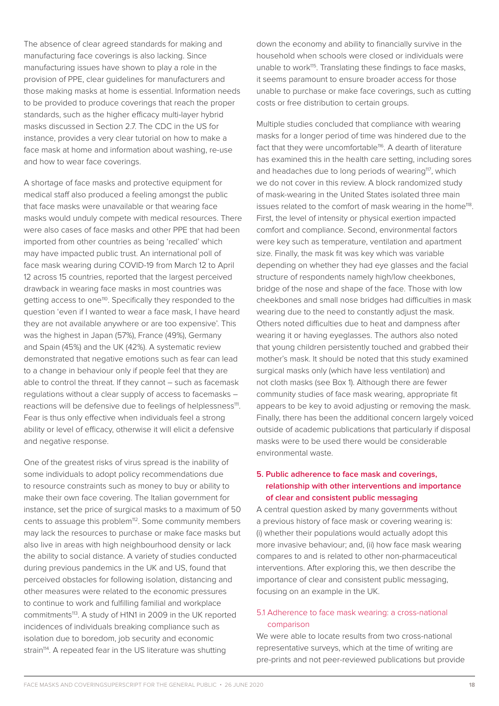The absence of clear agreed standards for making and manufacturing face coverings is also lacking. Since manufacturing issues have shown to play a role in the provision of PPE, clear guidelines for manufacturers and those making masks at home is essential. Information needs to be provided to produce coverings that reach the proper standards, such as the higher efficacy multi-layer hybrid masks discussed in Section 2.7. The CDC in the US for instance, provides a very clear tutorial on how to make a face mask at home and information about washing, re-use and how to wear face coverings.

A shortage of face masks and protective equipment for medical staff also produced a feeling amongst the public that face masks were unavailable or that wearing face masks would unduly compete with medical resources. There were also cases of face masks and other PPE that had been imported from other countries as being 'recalled' which may have impacted public trust. An international poll of face mask wearing during COVID-19 from March 12 to April 12 across 15 countries, reported that the largest perceived drawback in wearing face masks in most countries was getting access to one<sup>110</sup>. Specifically they responded to the question 'even if I wanted to wear a face mask, I have heard they are not available anywhere or are too expensive'. This was the highest in Japan (57%), France (49%), Germany and Spain (45%) and the UK (42%). A systematic review demonstrated that negative emotions such as fear can lead to a change in behaviour only if people feel that they are able to control the threat. If they cannot – such as facemask regulations without a clear supply of access to facemasks – reactions will be defensive due to feelings of helplessness<sup>111</sup>. Fear is thus only effective when individuals feel a strong ability or level of efficacy, otherwise it will elicit a defensive and negative response.

One of the greatest risks of virus spread is the inability of some individuals to adopt policy recommendations due to resource constraints such as money to buy or ability to make their own face covering. The Italian government for instance, set the price of surgical masks to a maximum of 50 cents to assuage this problem<sup>112</sup>. Some community members may lack the resources to purchase or make face masks but also live in areas with high neighbourhood density or lack the ability to social distance. A variety of studies conducted during previous pandemics in the UK and US, found that perceived obstacles for following isolation, distancing and other measures were related to the economic pressures to continue to work and fulfilling familial and workplace commitments<sup>113</sup>. A study of H1N1 in 2009 in the UK reported incidences of individuals breaking compliance such as isolation due to boredom, job security and economic strain<sup>114</sup>. A repeated fear in the US literature was shutting

down the economy and ability to financially survive in the household when schools were closed or individuals were unable to work<sup>115</sup>. Translating these findings to face masks, it seems paramount to ensure broader access for those unable to purchase or make face coverings, such as cutting costs or free distribution to certain groups.

Multiple studies concluded that compliance with wearing masks for a longer period of time was hindered due to the fact that they were uncomfortable<sup>116</sup>. A dearth of literature has examined this in the health care setting, including sores and headaches due to long periods of wearing<sup>117</sup>, which we do not cover in this review. A block randomized study of mask-wearing in the United States isolated three main issues related to the comfort of mask wearing in the home<sup>118</sup>. First, the level of intensity or physical exertion impacted comfort and compliance. Second, environmental factors were key such as temperature, ventilation and apartment size. Finally, the mask fit was key which was variable depending on whether they had eye glasses and the facial structure of respondents namely high/low cheekbones, bridge of the nose and shape of the face. Those with low cheekbones and small nose bridges had difficulties in mask wearing due to the need to constantly adjust the mask. Others noted difficulties due to heat and dampness after wearing it or having eyeglasses. The authors also noted that young children persistently touched and grabbed their mother's mask. It should be noted that this study examined surgical masks only (which have less ventilation) and not cloth masks (see Box 1). Although there are fewer community studies of face mask wearing, appropriate fit appears to be key to avoid adjusting or removing the mask. Finally, there has been the additional concern largely voiced outside of academic publications that particularly if disposal masks were to be used there would be considerable environmental waste.

## **5. Public adherence to face mask and coverings, relationship with other interventions and importance of clear and consistent public messaging**

A central question asked by many governments without a previous history of face mask or covering wearing is: (i) whether their populations would actually adopt this more invasive behaviour; and, (ii) how face mask wearing compares to and is related to other non-pharmaceutical interventions. After exploring this, we then describe the importance of clear and consistent public messaging, focusing on an example in the UK.

## 5.1 Adherence to face mask wearing: a cross-national comparison

We were able to locate results from two cross-national representative surveys, which at the time of writing are pre-prints and not peer-reviewed publications but provide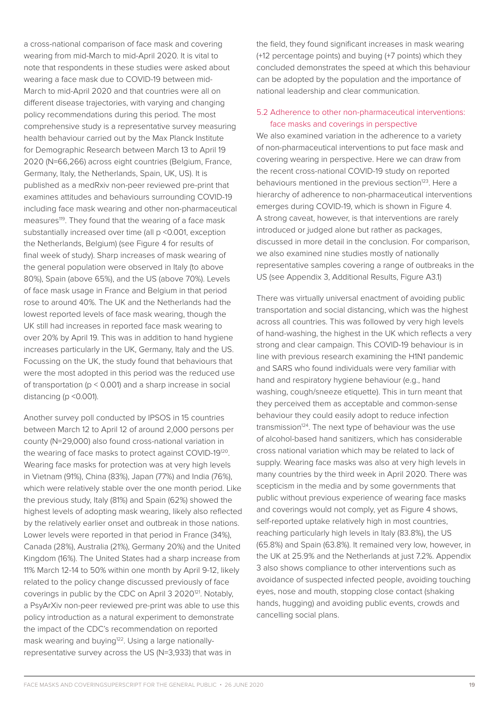a cross-national comparison of face mask and covering wearing from mid-March to mid-April 2020. It is vital to note that respondents in these studies were asked about wearing a face mask due to COVID-19 between mid-March to mid-April 2020 and that countries were all on different disease trajectories, with varying and changing policy recommendations during this period. The most comprehensive study is a representative survey measuring health behaviour carried out by the Max Planck Institute for Demographic Research between March 13 to April 19 2020 (N=66,266) across eight countries (Belgium, France, Germany, Italy, the Netherlands, Spain, UK, US). It is published as a medRxiv non-peer reviewed pre-print that examines attitudes and behaviours surrounding COVID-19 including face mask wearing and other non-pharmaceutical measures<sup>119</sup>. They found that the wearing of a face mask substantially increased over time (all p <0.001, exception the Netherlands, Belgium) (see Figure 4 for results of final week of study). Sharp increases of mask wearing of the general population were observed in Italy (to above 80%), Spain (above 65%), and the US (above 70%). Levels of face mask usage in France and Belgium in that period rose to around 40%. The UK and the Netherlands had the lowest reported levels of face mask wearing, though the UK still had increases in reported face mask wearing to over 20% by April 19. This was in addition to hand hygiene increases particularly in the UK, Germany, Italy and the US. Focussing on the UK, the study found that behaviours that were the most adopted in this period was the reduced use of transportation (p < 0.001) and a sharp increase in social distancing (p <0.001).

Another survey poll conducted by IPSOS in 15 countries between March 12 to April 12 of around 2,000 persons per county (N=29,000) also found cross-national variation in the wearing of face masks to protect against COVID-19120. Wearing face masks for protection was at very high levels in Vietnam (91%), China (83%), Japan (77%) and India (76%), which were relatively stable over the one month period. Like the previous study, Italy (81%) and Spain (62%) showed the highest levels of adopting mask wearing, likely also reflected by the relatively earlier onset and outbreak in those nations. Lower levels were reported in that period in France (34%), Canada (28%), Australia (21%), Germany 20%) and the United Kingdom (16%). The United States had a sharp increase from 11% March 12-14 to 50% within one month by April 9-12, likely related to the policy change discussed previously of face coverings in public by the CDC on April 3 2020121. Notably, a PsyArXiv non-peer reviewed pre-print was able to use this policy introduction as a natural experiment to demonstrate the impact of the CDC's recommendation on reported mask wearing and buying<sup>122</sup>. Using a large nationallyrepresentative survey across the US (N=3,933) that was in

the field, they found significant increases in mask wearing (+12 percentage points) and buying (+7 points) which they concluded demonstrates the speed at which this behaviour can be adopted by the population and the importance of national leadership and clear communication.

## 5.2 Adherence to other non-pharmaceutical interventions: face masks and coverings in perspective

We also examined variation in the adherence to a variety of non-pharmaceutical interventions to put face mask and covering wearing in perspective. Here we can draw from the recent cross-national COVID-19 study on reported behaviours mentioned in the previous section<sup>123</sup>. Here a hierarchy of adherence to non-pharmaceutical interventions emerges during COVID-19, which is shown in Figure 4. A strong caveat, however, is that interventions are rarely introduced or judged alone but rather as packages, discussed in more detail in the conclusion. For comparison, we also examined nine studies mostly of nationally representative samples covering a range of outbreaks in the US (see Appendix 3, Additional Results, Figure A3.1)

There was virtually universal enactment of avoiding public transportation and social distancing, which was the highest across all countries. This was followed by very high levels of hand-washing, the highest in the UK which reflects a very strong and clear campaign. This COVID-19 behaviour is in line with previous research examining the H1N1 pandemic and SARS who found individuals were very familiar with hand and respiratory hygiene behaviour (e.g., hand washing, cough/sneeze etiquette). This in turn meant that they perceived them as acceptable and common-sense behaviour they could easily adopt to reduce infection transmission<sup>124</sup>. The next type of behaviour was the use of alcohol-based hand sanitizers, which has considerable cross national variation which may be related to lack of supply. Wearing face masks was also at very high levels in many countries by the third week in April 2020. There was scepticism in the media and by some governments that public without previous experience of wearing face masks and coverings would not comply, yet as Figure 4 shows, self-reported uptake relatively high in most countries, reaching particularly high levels in Italy (83.8%), the US (65.8%) and Spain (63.8%). It remained very low, however, in the UK at 25.9% and the Netherlands at just 7.2%. Appendix 3 also shows compliance to other interventions such as avoidance of suspected infected people, avoiding touching eyes, nose and mouth, stopping close contact (shaking hands, hugging) and avoiding public events, crowds and cancelling social plans.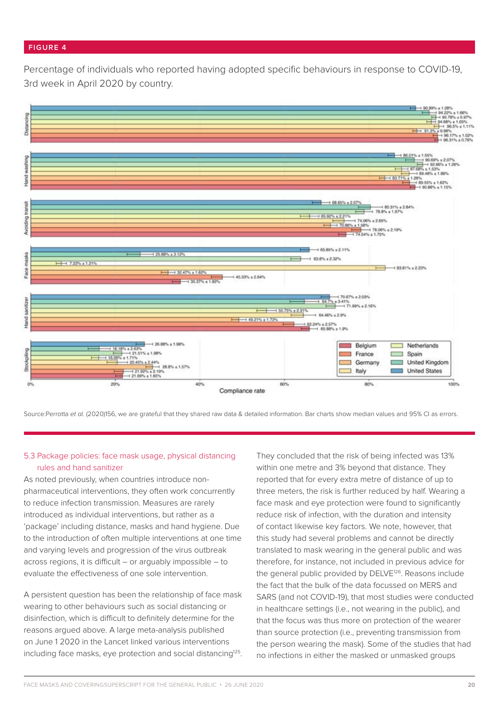#### **FIGURE 4**

Percentage of individuals who reported having adopted specific behaviours in response to COVID-19, 3rd week in April 2020 by country.



Source:Perrotta et al. (2020)156, we are grateful that they shared raw data & detailed information. Bar charts show median values and 95% CI as errors.

## 5.3 Package policies: face mask usage, physical distancing rules and hand sanitizer

As noted previously, when countries introduce nonpharmaceutical interventions, they often work concurrently to reduce infection transmission. Measures are rarely introduced as individual interventions, but rather as a 'package' including distance, masks and hand hygiene. Due to the introduction of often multiple interventions at one time and varying levels and progression of the virus outbreak across regions, it is difficult – or arguably impossible – to evaluate the effectiveness of one sole intervention.

A persistent question has been the relationship of face mask wearing to other behaviours such as social distancing or disinfection, which is difficult to definitely determine for the reasons argued above. A large meta-analysis published on June 1 2020 in the Lancet linked various interventions including face masks, eye protection and social distancing<sup>125</sup>.

They concluded that the risk of being infected was 13% within one metre and 3% beyond that distance. They reported that for every extra metre of distance of up to three meters, the risk is further reduced by half. Wearing a face mask and eye protection were found to significantly reduce risk of infection, with the duration and intensity of contact likewise key factors. We note, however, that this study had several problems and cannot be directly translated to mask wearing in the general public and was therefore, for instance, not included in previous advice for the general public provided by DELVE<sup>126</sup>. Reasons include the fact that the bulk of the data focussed on MERS and SARS (and not COVID-19), that most studies were conducted in healthcare settings (i.e., not wearing in the public), and that the focus was thus more on protection of the wearer than source protection (i.e., preventing transmission from the person wearing the mask). Some of the studies that had no infections in either the masked or unmasked groups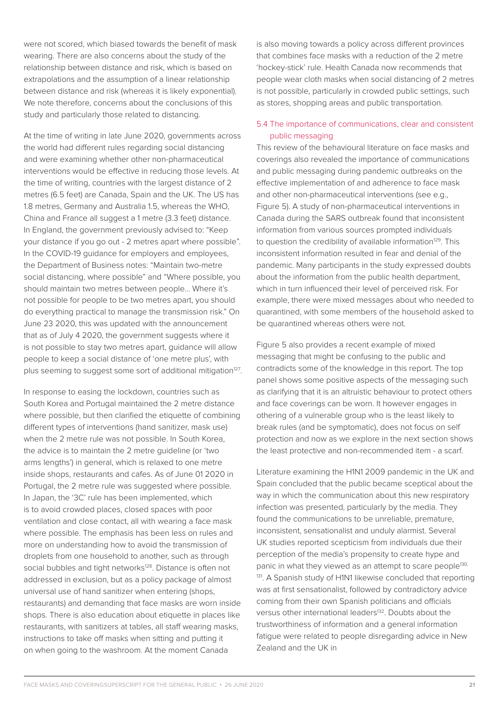were not scored, which biased towards the benefit of mask wearing. There are also concerns about the study of the relationship between distance and risk, which is based on extrapolations and the assumption of a linear relationship between distance and risk (whereas it is likely exponential). We note therefore, concerns about the conclusions of this study and particularly those related to distancing.

At the time of writing in late June 2020, governments across the world had different rules regarding social distancing and were examining whether other non-pharmaceutical interventions would be effective in reducing those levels. At the time of writing, countries with the largest distance of 2 metres (6.5 feet) are Canada, Spain and the UK. The US has 1.8 metres, Germany and Australia 1.5, whereas the WHO, China and France all suggest a 1 metre (3.3 feet) distance. In England, the government previously advised to: "Keep your distance if you go out - 2 metres apart where possible". In the COVID-19 quidance for employers and employees. the Department of Business notes: "Maintain two-metre social distancing, where possible" and "Where possible, you should maintain two metres between people… Where it's not possible for people to be two metres apart, you should do everything practical to manage the transmission risk." On June 23 2020, this was updated with the announcement that as of July 4 2020, the government suggests where it is not possible to stay two metres apart, guidance will allow people to keep a social distance of 'one metre plus', with plus seeming to suggest some sort of additional mitigation<sup>127</sup>.

In response to easing the lockdown, countries such as South Korea and Portugal maintained the 2 metre distance where possible, but then clarified the etiquette of combining different types of interventions (hand sanitizer, mask use) when the 2 metre rule was not possible. In South Korea, the advice is to maintain the 2 metre guideline (or 'two arms lengths') in general, which is relaxed to one metre inside shops, restaurants and cafes. As of June 01 2020 in Portugal, the 2 metre rule was suggested where possible. In Japan, the '3C' rule has been implemented, which is to avoid crowded places, closed spaces with poor ventilation and close contact, all with wearing a face mask where possible. The emphasis has been less on rules and more on understanding how to avoid the transmission of droplets from one household to another, such as through social bubbles and tight networks<sup>128</sup>. Distance is often not addressed in exclusion, but as a policy package of almost universal use of hand sanitizer when entering (shops, restaurants) and demanding that face masks are worn inside shops. There is also education about etiquette in places like restaurants, with sanitizers at tables, all staff wearing masks, instructions to take off masks when sitting and putting it on when going to the washroom. At the moment Canada

is also moving towards a policy across different provinces that combines face masks with a reduction of the 2 metre 'hockey-stick' rule. Health Canada now recommends that people wear cloth masks when social distancing of 2 metres is not possible, particularly in crowded public settings, such as stores, shopping areas and public transportation.

## 5.4 The importance of communications, clear and consistent public messaging

This review of the behavioural literature on face masks and coverings also revealed the importance of communications and public messaging during pandemic outbreaks on the effective implementation of and adherence to face mask and other non-pharmaceutical interventions (see e.g., Figure 5). A study of non-pharmaceutical interventions in Canada during the SARS outbreak found that inconsistent information from various sources prompted individuals to question the credibility of available information<sup>129</sup>. This inconsistent information resulted in fear and denial of the pandemic. Many participants in the study expressed doubts about the information from the public health department, which in turn influenced their level of perceived risk. For example, there were mixed messages about who needed to quarantined, with some members of the household asked to be quarantined whereas others were not.

Figure 5 also provides a recent example of mixed messaging that might be confusing to the public and contradicts some of the knowledge in this report. The top panel shows some positive aspects of the messaging such as clarifying that it is an altruistic behaviour to protect others and face coverings can be worn. It however engages in othering of a vulnerable group who is the least likely to break rules (and be symptomatic), does not focus on self protection and now as we explore in the next section shows the least protective and non-recommended item - a scarf.

Literature examining the H1N1 2009 pandemic in the UK and Spain concluded that the public became sceptical about the way in which the communication about this new respiratory infection was presented, particularly by the media. They found the communications to be unreliable, premature, inconsistent, sensationalist and unduly alarmist. Several UK studies reported scepticism from individuals due their perception of the media's propensity to create hype and panic in what they viewed as an attempt to scare people<sup>130,</sup> <sup>131</sup>. A Spanish study of H1N1 likewise concluded that reporting was at first sensationalist, followed by contradictory advice coming from their own Spanish politicians and officials versus other international leaders<sup>132</sup>. Doubts about the trustworthiness of information and a general information fatigue were related to people disregarding advice in New Zealand and the UK in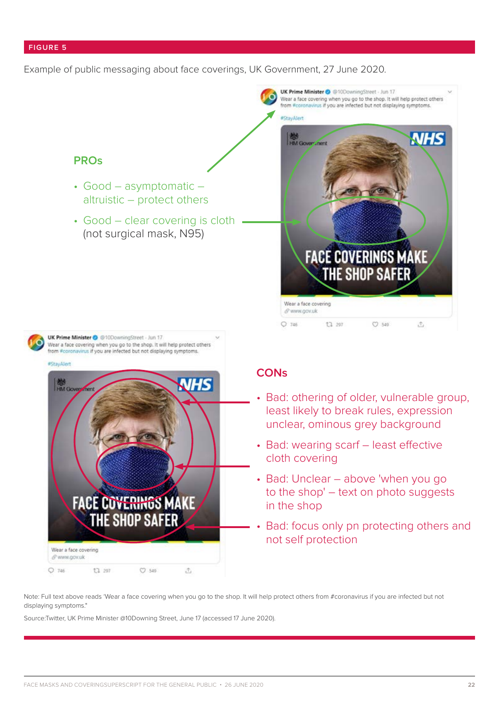#### **FIGURE 5**

Example of public messaging about face coverings, UK Government, 27 June 2020.



Note: Full text above reads 'Wear a face covering when you go to the shop. It will help protect others from #coronavirus if you are infected but not displaying symptoms."

Source:Twitter, UK Prime Minister @10Downing Street, June 17 (accessed 17 June 2020).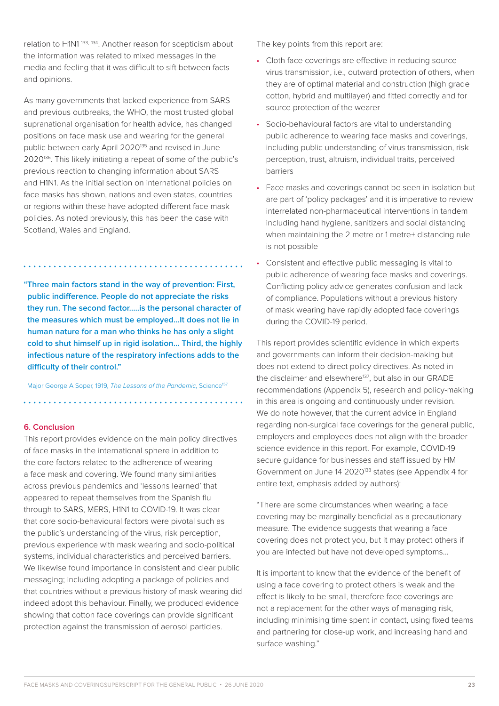relation to H1N1 133, 134. Another reason for scepticism about the information was related to mixed messages in the media and feeling that it was difficult to sift between facts and opinions.

As many governments that lacked experience from SARS and previous outbreaks, the WHO, the most trusted global supranational organisation for health advice, has changed positions on face mask use and wearing for the general public between early April 2020135 and revised in June 2020136. This likely initiating a repeat of some of the public's previous reaction to changing information about SARS and H1N1. As the initial section on international policies on face masks has shown, nations and even states, countries or regions within these have adopted different face mask policies. As noted previously, this has been the case with Scotland, Wales and England.

**"Three main factors stand in the way of prevention: First, public indifference. People do not appreciate the risks they run. The second factor…..is the personal character of the measures which must be employed…It does not lie in human nature for a man who thinks he has only a slight cold to shut himself up in rigid isolation... Third, the highly infectious nature of the respiratory infections adds to the difficulty of their control."**

Major George A Soper, 1919, *The Lessons of the Pandemic*, Science<sup>157</sup>

#### **6. Conclusion**

This report provides evidence on the main policy directives of face masks in the international sphere in addition to the core factors related to the adherence of wearing a face mask and covering. We found many similarities across previous pandemics and 'lessons learned' that appeared to repeat themselves from the Spanish flu through to SARS, MERS, H1N1 to COVID-19. It was clear that core socio-behavioural factors were pivotal such as the public's understanding of the virus, risk perception, previous experience with mask wearing and socio-political systems, individual characteristics and perceived barriers. We likewise found importance in consistent and clear public messaging; including adopting a package of policies and that countries without a previous history of mask wearing did indeed adopt this behaviour. Finally, we produced evidence showing that cotton face coverings can provide significant protection against the transmission of aerosol particles.

The key points from this report are:

- Cloth face coverings are effective in reducing source virus transmission, i.e., outward protection of others, when they are of optimal material and construction (high grade cotton, hybrid and multilayer) and fitted correctly and for source protection of the wearer
- Socio-behavioural factors are vital to understanding public adherence to wearing face masks and coverings, including public understanding of virus transmission, risk perception, trust, altruism, individual traits, perceived barriers
- Face masks and coverings cannot be seen in isolation but are part of 'policy packages' and it is imperative to review interrelated non-pharmaceutical interventions in tandem including hand hygiene, sanitizers and social distancing when maintaining the 2 metre or 1 metre+ distancing rule is not possible
- Consistent and effective public messaging is vital to public adherence of wearing face masks and coverings. Conflicting policy advice generates confusion and lack of compliance. Populations without a previous history of mask wearing have rapidly adopted face coverings during the COVID-19 period.

This report provides scientific evidence in which experts and governments can inform their decision-making but does not extend to direct policy directives. As noted in the disclaimer and elsewhere<sup>137</sup>, but also in our GRADE recommendations (Appendix 5), research and policy-making in this area is ongoing and continuously under revision. We do note however, that the current advice in England regarding non-surgical face coverings for the general public, employers and employees does not align with the broader science evidence in this report. For example, COVID-19 secure guidance for businesses and staff issued by HM Government on June 14 2020<sup>138</sup> states (see Appendix 4 for entire text, emphasis added by authors):

"There are some circumstances when wearing a face covering may be marginally beneficial as a precautionary measure. The evidence suggests that wearing a face covering does not protect you, but it may protect others if you are infected but have not developed symptoms...

It is important to know that the evidence of the benefit of using a face covering to protect others is weak and the effect is likely to be small, therefore face coverings are not a replacement for the other ways of managing risk, including minimising time spent in contact, using fixed teams and partnering for close-up work, and increasing hand and surface washing."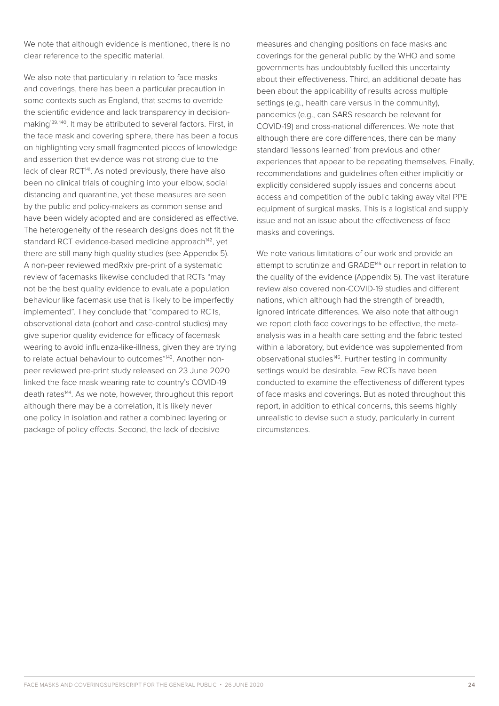We note that although evidence is mentioned, there is no clear reference to the specific material.

We also note that particularly in relation to face masks and coverings, there has been a particular precaution in some contexts such as England, that seems to override the scientific evidence and lack transparency in decisionmaking139, 140. It may be attributed to several factors. First, in the face mask and covering sphere, there has been a focus on highlighting very small fragmented pieces of knowledge and assertion that evidence was not strong due to the lack of clear RCT<sup>141</sup>. As noted previously, there have also been no clinical trials of coughing into your elbow, social distancing and quarantine, yet these measures are seen by the public and policy-makers as common sense and have been widely adopted and are considered as effective. The heterogeneity of the research designs does not fit the standard RCT evidence-based medicine approach<sup>142</sup>, yet there are still many high quality studies (see Appendix 5). A non-peer reviewed medRxiv pre-print of a systematic review of facemasks likewise concluded that RCTs "may not be the best quality evidence to evaluate a population behaviour like facemask use that is likely to be imperfectly implemented". They conclude that "compared to RCTs, observational data (cohort and case-control studies) may give superior quality evidence for efficacy of facemask wearing to avoid influenza-like-illness, given they are trying to relate actual behaviour to outcomes"<sup>143</sup>. Another nonpeer reviewed pre-print study released on 23 June 2020 linked the face mask wearing rate to country's COVID-19 death rates<sup>144</sup>. As we note, however, throughout this report although there may be a correlation, it is likely never one policy in isolation and rather a combined layering or package of policy effects. Second, the lack of decisive

measures and changing positions on face masks and coverings for the general public by the WHO and some governments has undoubtably fuelled this uncertainty about their effectiveness. Third, an additional debate has been about the applicability of results across multiple settings (e.g., health care versus in the community), pandemics (e.g., can SARS research be relevant for COVID-19) and cross-national differences. We note that although there are core differences, there can be many standard 'lessons learned' from previous and other experiences that appear to be repeating themselves. Finally, recommendations and guidelines often either implicitly or explicitly considered supply issues and concerns about access and competition of the public taking away vital PPE equipment of surgical masks. This is a logistical and supply issue and not an issue about the effectiveness of face masks and coverings.

We note various limitations of our work and provide an attempt to scrutinize and GRADE145 our report in relation to the quality of the evidence (Appendix 5). The vast literature review also covered non-COVID-19 studies and different nations, which although had the strength of breadth, ignored intricate differences. We also note that although we report cloth face coverings to be effective, the metaanalysis was in a health care setting and the fabric tested within a laboratory, but evidence was supplemented from observational studies<sup>146</sup>. Further testing in community settings would be desirable. Few RCTs have been conducted to examine the effectiveness of different types of face masks and coverings. But as noted throughout this report, in addition to ethical concerns, this seems highly unrealistic to devise such a study, particularly in current circumstances.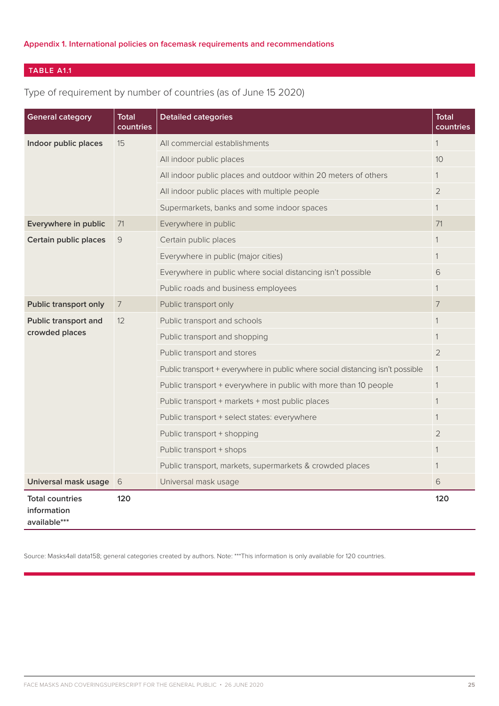## **TABLE A1.1**

# Type of requirement by number of countries (as of June 15 2020)

| <b>General category</b>                               | Total<br>countries | <b>Detailed categories</b>                                                     | <b>Total</b><br>countries |
|-------------------------------------------------------|--------------------|--------------------------------------------------------------------------------|---------------------------|
| Indoor public places                                  | 15                 | All commercial establishments                                                  | $\mathbf{1}$              |
|                                                       |                    | All indoor public places                                                       | 10                        |
|                                                       |                    | All indoor public places and outdoor within 20 meters of others                | 1                         |
|                                                       |                    | All indoor public places with multiple people                                  | $\overline{2}$            |
|                                                       |                    | Supermarkets, banks and some indoor spaces                                     | $\mathbf{1}$              |
| Everywhere in public                                  | 71                 | Everywhere in public                                                           | 71                        |
| Certain public places                                 | 9                  | Certain public places                                                          | $\mathbf{1}$              |
|                                                       |                    | Everywhere in public (major cities)                                            | $\mathbf{1}$              |
|                                                       |                    | Everywhere in public where social distancing isn't possible                    | 6                         |
|                                                       |                    | Public roads and business employees                                            | 1                         |
| <b>Public transport only</b>                          | $\overline{7}$     | Public transport only                                                          | 7                         |
| Public transport and                                  | 12                 | Public transport and schools                                                   | $\mathbf{1}$              |
| crowded places                                        |                    | Public transport and shopping                                                  | 1                         |
|                                                       |                    | Public transport and stores                                                    | 2                         |
|                                                       |                    | Public transport + everywhere in public where social distancing isn't possible | $\mathbf{1}$              |
|                                                       |                    | Public transport + everywhere in public with more than 10 people               | $\mathbf{1}$              |
|                                                       |                    | Public transport + markets + most public places                                | 1                         |
|                                                       |                    | Public transport + select states: everywhere                                   | 1                         |
|                                                       |                    | Public transport + shopping                                                    | $\overline{2}$            |
|                                                       |                    | Public transport + shops                                                       | 1                         |
|                                                       |                    | Public transport, markets, supermarkets & crowded places                       | $\mathbf{1}$              |
| Universal mask usage                                  | 6                  | Universal mask usage                                                           | 6                         |
| <b>Total countries</b><br>information<br>available*** | 120                |                                                                                | 120                       |

Source: Masks4all data158; general categories created by authors. Note: \*\*\*This information is only available for 120 countries.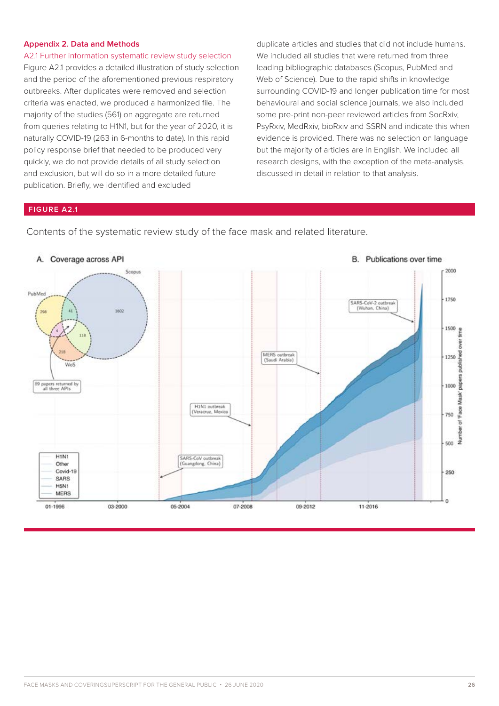#### **Appendix 2. Data and Methods**

A2.1 Further information systematic review study selection Figure A2.1 provides a detailed illustration of study selection and the period of the aforementioned previous respiratory outbreaks. After duplicates were removed and selection criteria was enacted, we produced a harmonized file. The majority of the studies (561) on aggregate are returned from queries relating to H1N1, but for the year of 2020, it is naturally COVID-19 (263 in 6-months to date). In this rapid policy response brief that needed to be produced very quickly, we do not provide details of all study selection and exclusion, but will do so in a more detailed future publication. Briefly, we identified and excluded

duplicate articles and studies that did not include humans. We included all studies that were returned from three leading bibliographic databases (Scopus, PubMed and Web of Science). Due to the rapid shifts in knowledge surrounding COVID-19 and longer publication time for most behavioural and social science journals, we also included some pre-print non-peer reviewed articles from SocRxiv, PsyRxiv, MedRxiv, bioRxiv and SSRN and indicate this when evidence is provided. There was no selection on language but the majority of articles are in English. We included all research designs, with the exception of the meta-analysis, discussed in detail in relation to that analysis.

#### **FIGURE A2.1**



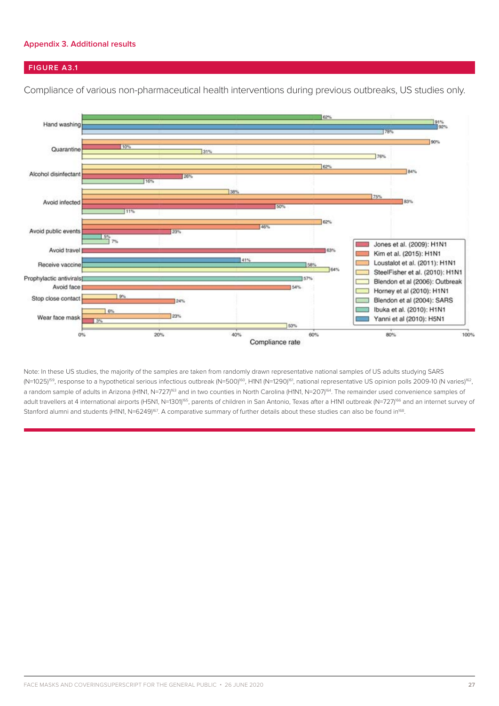#### **Appendix 3. Additional results**

## **FIGURE A3.1**

Compliance of various non-pharmaceutical health interventions during previous outbreaks, US studies only.



Note: In these US studies, the majority of the samples are taken from randomly drawn representative national samples of US adults studying SARS (N=1025)<sup>159</sup>, response to a hypothetical serious infectious outbreak (N=500)<sup>160</sup>, H1N1 (N=1290)<sup>161</sup>, national representative US opinion polls 2009-10 (N varies)<sup>162</sup>, a random sample of adults in Arizona (H1N1, N=727)<sup>63</sup> and in two counties in North Carolina (H1N1, N=207)<sup>64</sup>. The remainder used convenience samples of adult travellers at 4 international airports (H5N1, N=1301)<sup>165</sup>, parents of children in San Antonio, Texas after a H1N1 outbreak (N=727)<sup>166</sup> and an internet survey of Stanford alumni and students (H1N1, N=6249)<sup>167</sup>. A comparative summary of further details about these studies can also be found in<sup>168</sup>.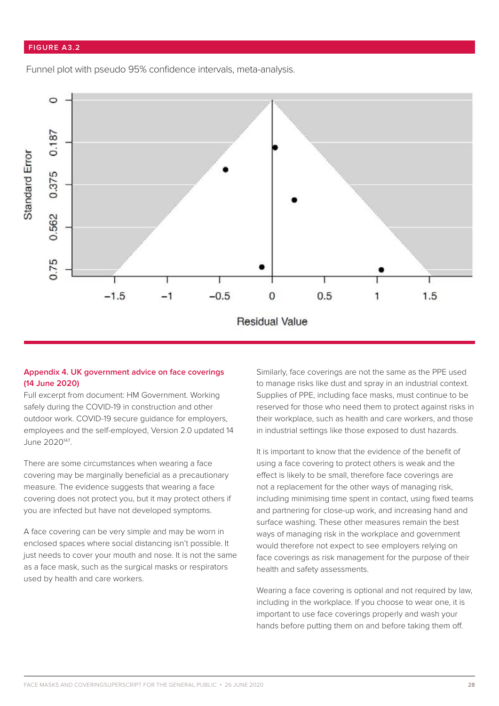#### **FIGURE A3.2**

Funnel plot with pseudo 95% confidence intervals, meta-analysis.



## **Appendix 4. UK government advice on face coverings (14 June 2020)**

Full excerpt from document: HM Government. Working safely during the COVID-19 in construction and other outdoor work. COVID-19 secure guidance for employers, employees and the self-employed, Version 2.0 updated 14 June 2020147.

There are some circumstances when wearing a face covering may be marginally beneficial as a precautionary measure. The evidence suggests that wearing a face covering does not protect you, but it may protect others if you are infected but have not developed symptoms.

A face covering can be very simple and may be worn in enclosed spaces where social distancing isn't possible. It just needs to cover your mouth and nose. It is not the same as a face mask, such as the surgical masks or respirators used by health and care workers.

Similarly, face coverings are not the same as the PPE used to manage risks like dust and spray in an industrial context. Supplies of PPE, including face masks, must continue to be reserved for those who need them to protect against risks in their workplace, such as health and care workers, and those in industrial settings like those exposed to dust hazards.

It is important to know that the evidence of the benefit of using a face covering to protect others is weak and the effect is likely to be small, therefore face coverings are not a replacement for the other ways of managing risk, including minimising time spent in contact, using fixed teams and partnering for close-up work, and increasing hand and surface washing. These other measures remain the best ways of managing risk in the workplace and government would therefore not expect to see employers relying on face coverings as risk management for the purpose of their health and safety assessments.

Wearing a face covering is optional and not required by law, including in the workplace. If you choose to wear one, it is important to use face coverings properly and wash your hands before putting them on and before taking them off.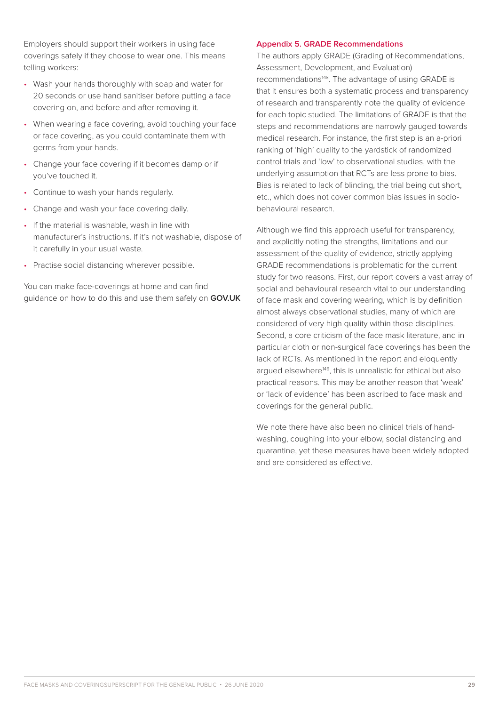Employers should support their workers in using face coverings safely if they choose to wear one. This means telling workers:

- Wash your hands thoroughly with soap and water for 20 seconds or use hand sanitiser before putting a face covering on, and before and after removing it.
- When wearing a face covering, avoid touching your face or face covering, as you could contaminate them with germs from your hands.
- Change your face covering if it becomes damp or if you've touched it.
- Continue to wash your hands regularly.
- Change and wash your face covering daily.
- If the material is washable, wash in line with manufacturer's instructions. If it's not washable, dispose of it carefully in your usual waste.
- Practise social distancing wherever possible.

You can make face-coverings at home and can find guidance on how to do this and use them safely on **GOV.UK**

#### **Appendix 5. GRADE Recommendations**

The authors apply GRADE (Grading of Recommendations, Assessment, Development, and Evaluation) recommendations<sup>148</sup>. The advantage of using GRADE is that it ensures both a systematic process and transparency of research and transparently note the quality of evidence for each topic studied. The limitations of GRADE is that the steps and recommendations are narrowly gauged towards medical research. For instance, the first step is an a-priori ranking of 'high' quality to the yardstick of randomized control trials and 'low' to observational studies, with the underlying assumption that RCTs are less prone to bias. Bias is related to lack of blinding, the trial being cut short, etc., which does not cover common bias issues in sociobehavioural research.

Although we find this approach useful for transparency, and explicitly noting the strengths, limitations and our assessment of the quality of evidence, strictly applying GRADE recommendations is problematic for the current study for two reasons. First, our report covers a vast array of social and behavioural research vital to our understanding of face mask and covering wearing, which is by definition almost always observational studies, many of which are considered of very high quality within those disciplines. Second, a core criticism of the face mask literature, and in particular cloth or non-surgical face coverings has been the lack of RCTs. As mentioned in the report and eloquently argued elsewhere<sup>149</sup>, this is unrealistic for ethical but also practical reasons. This may be another reason that 'weak' or 'lack of evidence' has been ascribed to face mask and coverings for the general public.

We note there have also been no clinical trials of handwashing, coughing into your elbow, social distancing and quarantine, yet these measures have been widely adopted and are considered as effective.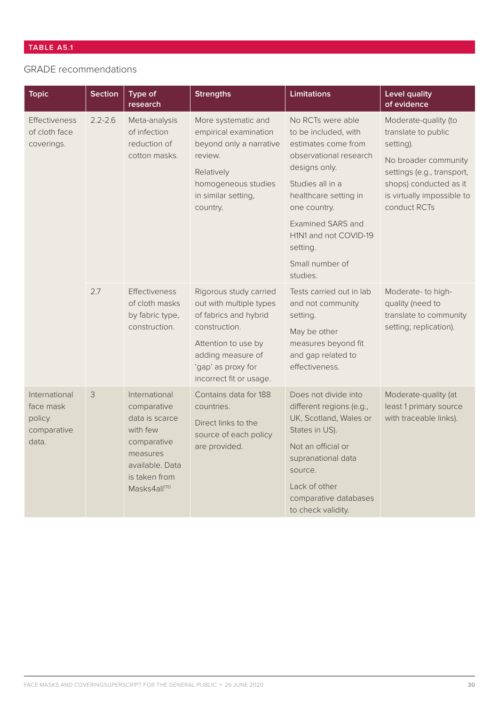# GRADE recommendations

| <b>Topic</b>                                                 | <b>Section</b> | Type of<br>research                                                                                                                                   | <b>Strengths</b>                                                                                                                                                                         | <b>Limitations</b>                                                                                                                                                                                                                                                       | <b>Level quality</b><br>of evidence                                                                                                                                                    |
|--------------------------------------------------------------|----------------|-------------------------------------------------------------------------------------------------------------------------------------------------------|------------------------------------------------------------------------------------------------------------------------------------------------------------------------------------------|--------------------------------------------------------------------------------------------------------------------------------------------------------------------------------------------------------------------------------------------------------------------------|----------------------------------------------------------------------------------------------------------------------------------------------------------------------------------------|
| <b>Effectiveness</b><br>of cloth face<br>coverings.          | $2.2 - 2.6$    | Meta-analysis<br>of infection<br>reduction of<br>cotton masks.                                                                                        | More systematic and<br>empirical examination<br>beyond only a narrative<br>review.<br>Relatively<br>homogeneous studies<br>in similar setting,<br>country.                               | No RCTs were able<br>to be included, with<br>estimates come from<br>observational research<br>designs only.<br>Studies all in a<br>healthcare setting in<br>one country.<br><b>Examined SARS and</b><br>H1N1 and not COVID-19<br>setting.<br>Small number of<br>studies. | Moderate-quality (to<br>translate to public<br>setting).<br>No broader community<br>settings (e.g., transport,<br>shops) conducted as it<br>is virtually impossible to<br>conduct RCTs |
|                                                              | 2.7            | <b>Effectiveness</b><br>of cloth masks<br>by fabric type,<br>construction.                                                                            | Rigorous study carried<br>out with multiple types<br>of fabrics and hybrid<br>construction.<br>Attention to use by<br>adding measure of<br>'gap' as proxy for<br>incorrect fit or usage. | Tests carried out in lab<br>and not community<br>setting.<br>May be other<br>measures beyond fit<br>and gap related to<br>effectiveness.                                                                                                                                 | Moderate- to high-<br>quality (need to<br>translate to community<br>setting; replication).                                                                                             |
| International<br>face mask<br>policy<br>comparative<br>data. | 3              | International<br>comparative<br>data is scarce<br>with few<br>comparative<br>measures<br>available. Data<br>is taken from<br>Masks4all <sup>170</sup> | Contains data for 188<br>countries.<br>Direct links to the<br>source of each policy<br>are provided.                                                                                     | Does not divide into<br>different regions (e.g.,<br>UK, Scotland, Wales or<br>States in US).<br>Not an official or<br>supranational data<br>source.<br>Lack of other<br>comparative databases<br>to check validity.                                                      | Moderate-quality (at<br>least 1 primary source<br>with traceable links).                                                                                                               |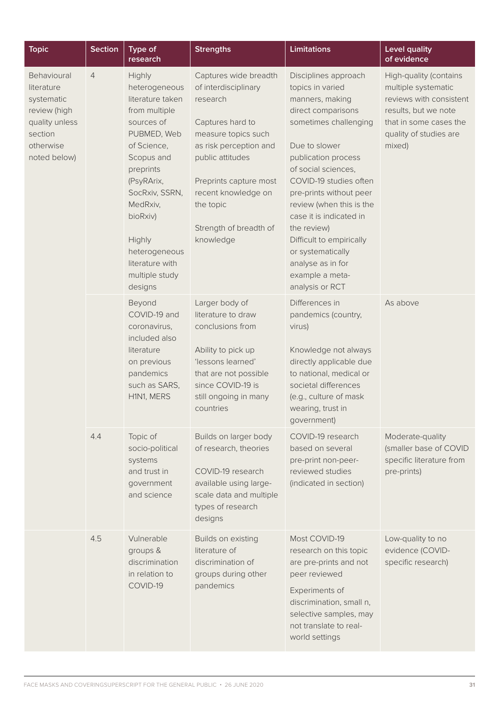| <b>Topic</b>                                                                                                      | <b>Section</b> | Type of<br>research                                                                                                                                                                                                                                                    | <b>Strengths</b>                                                                                                                                                                                                                                        | <b>Limitations</b>                                                                                                                                                                                                                                                                                                                                                                                               | <b>Level quality</b><br>of evidence                                                                                                                            |
|-------------------------------------------------------------------------------------------------------------------|----------------|------------------------------------------------------------------------------------------------------------------------------------------------------------------------------------------------------------------------------------------------------------------------|---------------------------------------------------------------------------------------------------------------------------------------------------------------------------------------------------------------------------------------------------------|------------------------------------------------------------------------------------------------------------------------------------------------------------------------------------------------------------------------------------------------------------------------------------------------------------------------------------------------------------------------------------------------------------------|----------------------------------------------------------------------------------------------------------------------------------------------------------------|
| Behavioural<br>literature<br>systematic<br>review (high<br>quality unless<br>section<br>otherwise<br>noted below) | $\overline{4}$ | Highly<br>heterogeneous<br>literature taken<br>from multiple<br>sources of<br>PUBMED, Web<br>of Science,<br>Scopus and<br>preprints<br>(PsyRArix,<br>SocRxiv, SSRN,<br>MedRxiv,<br>bioRxiv)<br>Highly<br>heterogeneous<br>literature with<br>multiple study<br>designs | Captures wide breadth<br>of interdisciplinary<br>research<br>Captures hard to<br>measure topics such<br>as risk perception and<br>public attitudes<br>Preprints capture most<br>recent knowledge on<br>the topic<br>Strength of breadth of<br>knowledge | Disciplines approach<br>topics in varied<br>manners, making<br>direct comparisons<br>sometimes challenging<br>Due to slower<br>publication process<br>of social sciences,<br>COVID-19 studies often<br>pre-prints without peer<br>review (when this is the<br>case it is indicated in<br>the review)<br>Difficult to empirically<br>or systematically<br>analyse as in for<br>example a meta-<br>analysis or RCT | High-quality (contains<br>multiple systematic<br>reviews with consistent<br>results, but we note<br>that in some cases the<br>quality of studies are<br>mixed) |
|                                                                                                                   |                | Beyond<br>COVID-19 and<br>coronavirus,<br>included also<br>literature<br>on previous<br>pandemics<br>such as SARS,<br>H1N1, MERS                                                                                                                                       | Larger body of<br>literature to draw<br>conclusions from<br>Ability to pick up<br>'lessons learned'<br>that are not possible<br>since COVID-19 is<br>still ongoing in many<br>countries                                                                 | Differences in<br>pandemics (country,<br>virus)<br>Knowledge not always<br>directly applicable due<br>to national, medical or<br>societal differences<br>(e.g., culture of mask<br>wearing, trust in<br>government)                                                                                                                                                                                              | As above                                                                                                                                                       |
|                                                                                                                   | 4.4            | Topic of<br>socio-political<br>systems<br>and trust in<br>government<br>and science                                                                                                                                                                                    | Builds on larger body<br>of research, theories<br>COVID-19 research<br>available using large-<br>scale data and multiple<br>types of research<br>designs                                                                                                | COVID-19 research<br>based on several<br>pre-print non-peer-<br>reviewed studies<br>(indicated in section)                                                                                                                                                                                                                                                                                                       | Moderate-quality<br>(smaller base of COVID<br>specific literature from<br>pre-prints)                                                                          |
|                                                                                                                   | 4.5            | Vulnerable<br>groups &<br>discrimination<br>in relation to<br>COVID-19                                                                                                                                                                                                 | Builds on existing<br>literature of<br>discrimination of<br>groups during other<br>pandemics                                                                                                                                                            | Most COVID-19<br>research on this topic<br>are pre-prints and not<br>peer reviewed<br>Experiments of<br>discrimination, small n,<br>selective samples, may<br>not translate to real-<br>world settings                                                                                                                                                                                                           | Low-quality to no<br>evidence (COVID-<br>specific research)                                                                                                    |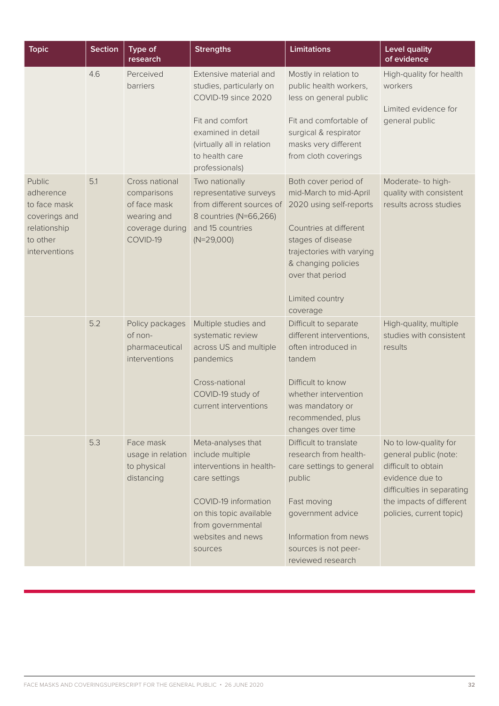| <b>Topic</b>                                                                                      | <b>Section</b> | Type of<br>research                                                                         | <b>Strengths</b>                                                                                                                                                                            | <b>Limitations</b>                                                                                                                                                                                                              | <b>Level quality</b><br>of evidence                                                                                                                                            |
|---------------------------------------------------------------------------------------------------|----------------|---------------------------------------------------------------------------------------------|---------------------------------------------------------------------------------------------------------------------------------------------------------------------------------------------|---------------------------------------------------------------------------------------------------------------------------------------------------------------------------------------------------------------------------------|--------------------------------------------------------------------------------------------------------------------------------------------------------------------------------|
|                                                                                                   | 4.6            | Perceived<br>barriers                                                                       | Extensive material and<br>studies, particularly on<br>COVID-19 since 2020<br>Fit and comfort<br>examined in detail<br>(virtually all in relation<br>to health care<br>professionals)        | Mostly in relation to<br>public health workers,<br>less on general public<br>Fit and comfortable of<br>surgical & respirator<br>masks very different<br>from cloth coverings                                                    | High-quality for health<br>workers<br>Limited evidence for<br>general public                                                                                                   |
| Public<br>adherence<br>to face mask<br>coverings and<br>relationship<br>to other<br>interventions | 5.1            | Cross national<br>comparisons<br>of face mask<br>wearing and<br>coverage during<br>COVID-19 | Two nationally<br>representative surveys<br>from different sources of<br>8 countries (N=66,266)<br>and 15 countries<br>$(N=29,000)$                                                         | Both cover period of<br>mid-March to mid-April<br>2020 using self-reports<br>Countries at different<br>stages of disease<br>trajectories with varying<br>& changing policies<br>over that period<br>Limited country<br>coverage | Moderate-to high-<br>quality with consistent<br>results across studies                                                                                                         |
|                                                                                                   | 5.2            | Policy packages<br>of non-<br>pharmaceutical<br>interventions                               | Multiple studies and<br>systematic review<br>across US and multiple<br>pandemics<br>Cross-national<br>COVID-19 study of<br>current interventions                                            | Difficult to separate<br>different interventions,<br>often introduced in<br>tandem<br>Difficult to know<br>whether intervention<br>was mandatory or<br>recommended, plus<br>changes over time                                   | High-quality, multiple<br>studies with consistent<br>results                                                                                                                   |
|                                                                                                   | 5.3            | Face mask<br>usage in relation<br>to physical<br>distancing                                 | Meta-analyses that<br>include multiple<br>interventions in health-<br>care settings<br>COVID-19 information<br>on this topic available<br>from governmental<br>websites and news<br>sources | Difficult to translate<br>research from health-<br>care settings to general<br>public<br>Fast moving<br>government advice<br>Information from news<br>sources is not peer-<br>reviewed research                                 | No to low-quality for<br>general public (note:<br>difficult to obtain<br>evidence due to<br>difficulties in separating<br>the impacts of different<br>policies, current topic) |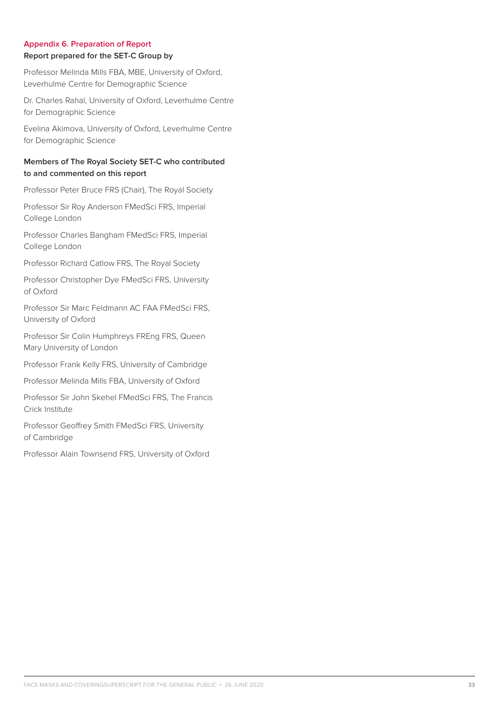### **Appendix 6. Preparation of Report Report prepared for the SET-C Group by**

Professor Melinda Mills FBA, MBE, University of Oxford, Leverhulme Centre for Demographic Science

Dr. Charles Rahal, University of Oxford, Leverhulme Centre for Demographic Science

Evelina Akimova, University of Oxford, Leverhulme Centre for Demographic Science

## **Members of The Royal Society SET-C who contributed to and commented on this report**

Professor Peter Bruce FRS (Chair), The Royal Society

Professor Sir Roy Anderson FMedSci FRS, Imperial College London

Professor Charles Bangham FMedSci FRS, Imperial College London

Professor Richard Catlow FRS, The Royal Society

Professor Christopher Dye FMedSci FRS, University of Oxford

Professor Sir Marc Feldmann AC FAA FMedSci FRS, University of Oxford

Professor Sir Colin Humphreys FREng FRS, Queen Mary University of London

Professor Frank Kelly FRS, University of Cambridge

Professor Melinda Mills FBA, University of Oxford

Professor Sir John Skehel FMedSci FRS, The Francis Crick Institute

Professor Geoffrey Smith FMedSci FRS, University of Cambridge

Professor Alain Townsend FRS, University of Oxford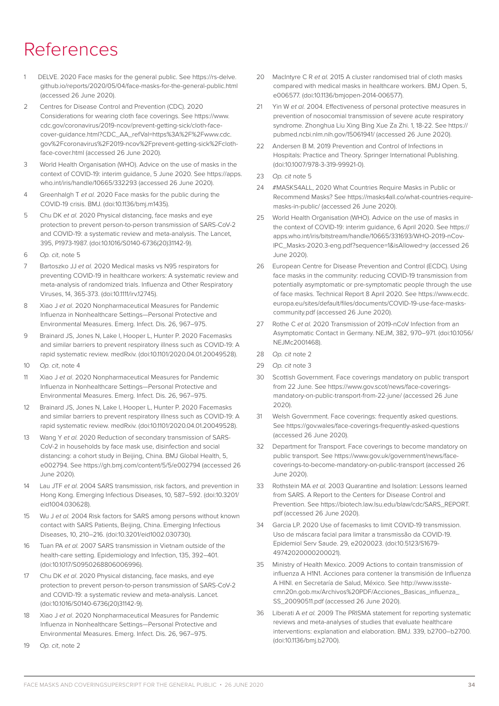# References

- DELVE. 2020 Face masks for the general public. See https://rs-delve. github.io/reports/2020/05/04/face-masks-for-the-general-public.html (accessed 26 June 2020).
- 2 Centres for Disease Control and Prevention (CDC). 2020 Considerations for wearing cloth face coverings. See https://www. cdc.gov/coronavirus/2019-ncov/prevent-getting-sick/cloth-facecover-guidance.html?CDC\_AA\_refVal=https%3A%2F%2Fwww.cdc. gov%2Fcoronavirus%2F2019-ncov%2Fprevent-getting-sick%2Fclothface-cover.html (accessed 26 June 2020).
- 3 World Health Organisation (WHO). Advice on the use of masks in the context of COVID-19: interim guidance, 5 June 2020. See https://apps. who.int/iris/handle/10665/332293 (accessed 26 June 2020).
- 4 Greenhalgh T *et al.* 2020 Face masks for the public during the COVID-19 crisis. BMJ. (doi:10.1136/bmj.m1435).
- 5 Chu DK *et al.* 2020 Physical distancing, face masks and eye protection to prevent person-to-person transmission of SARS-CoV-2 and COVID-19: a systematic review and meta-analysis. The Lancet, 395, P1973-1987. (doi:10.1016/S0140-6736(20)31142-9).
- 6 *Op. cit*, note 5
- 7 Bartoszko JJ *et al.* 2020 Medical masks vs N95 respirators for preventing COVID-19 in healthcare workers: A systematic review and meta-analysis of randomized trials. Influenza and Other Respiratory Viruses, 14, 365-373. (doi:10.1111/irv.12745).
- 8 Xiao J *et al*. 2020 Nonpharmaceutical Measures for Pandemic Influenza in Nonhealthcare Settings—Personal Protective and Environmental Measures. Emerg. Infect. Dis. 26, 967–975.
- 9 Brainard JS, Jones N, Lake I, Hooper L, Hunter P. 2020 Facemasks and similar barriers to prevent respiratory illness such as COVID-19: A rapid systematic review. medRxiv. (doi:10.1101/2020.04.01.20049528).
- 10 *Op. cit*, note 4
- 11 Xiao J *et al*. 2020 Nonpharmaceutical Measures for Pandemic Influenza in Nonhealthcare Settings—Personal Protective and Environmental Measures. Emerg. Infect. Dis. 26, 967–975.
- 12 Brainard JS, Jones N, Lake I, Hooper L, Hunter P. 2020 Facemasks and similar barriers to prevent respiratory illness such as COVID-19: A rapid systematic review. medRxiv. (doi:10.1101/2020.04.01.20049528).
- 13 Wang Y *et al.* 2020 Reduction of secondary transmission of SARS-CoV-2 in households by face mask use, disinfection and social distancing: a cohort study in Beijing, China. BMJ Global Health, 5, e002794. See https://gh.bmj.com/content/5/5/e002794 (accessed 26 June 2020).
- 14 Lau JTF *et al.* 2004 SARS transmission, risk factors, and prevention in Hong Kong. Emerging Infectious Diseases, 10, 587–592. (doi:10.3201/ eid1004.030628).
- 15 Wu J *et al.* 2004 Risk factors for SARS among persons without known contact with SARS Patients, Beijing, China. Emerging Infectious Diseases, 10, 210–216. (doi:10.3201/eid1002.030730).
- 16 Tuan PA *et al.* 2007 SARS transmission in Vietnam outside of the health-care setting. Epidemiology and Infection, 135, 392–401. (doi:10.1017/S0950268806006996).
- 17 Chu DK *et al*. 2020 Physical distancing, face masks, and eye protection to prevent person-to-person transmission of SARS-CoV-2 and COVID-19: a systematic review and meta-analysis. Lancet. (doi:10.1016/S0140-6736(20)31142-9).
- 18 Xiao J *et al*. 2020 Nonpharmaceutical Measures for Pandemic Influenza in Nonhealthcare Settings—Personal Protective and Environmental Measures. Emerg. Infect. Dis. 26, 967–975.
- 19 *Op. cit*, note 2
- 20 MacIntyre C R *et al.* 2015 A cluster randomised trial of cloth masks compared with medical masks in healthcare workers. BMJ Open. 5, e006577. (doi:10.1136/bmjopen-2014-006577).
- 21 Yin W *et al.* 2004. Effectiveness of personal protective measures in prevention of nosocomial transmission of severe acute respiratory syndrome. Zhonghua Liu Xing Bing Xue Za Zhi. 1, 18-22. See https:// pubmed.ncbi.nlm.nih.gov/15061941/ (accessed 26 June 2020).
- 22 Andersen B M. 2019 Prevention and Control of Infections in Hospitals: Practice and Theory. Springer International Publishing. (doi:10.1007/978-3-319-99921-0).
- 23 *Op. cit* note 5
- 24 #MASKS4ALL, 2020 What Countries Require Masks in Public or Recommend Masks? See https://masks4all.co/what-countries-requiremasks-in-public/ (accessed 26 June 2020).
- 25 World Health Organisation (WHO). Advice on the use of masks in the context of COVID-19: interim guidance, 6 April 2020. See https:// apps.who.int/iris/bitstream/handle/10665/331693/WHO-2019-nCov-IPC\_Masks-2020.3-eng.pdf?sequence=1&isAllowed=y (accessed 26 June 2020).
- 26 European Centre for Disease Prevention and Control (ECDC), Using face masks in the community: reducing COVID-19 transmission from potentially asymptomatic or pre-symptomatic people through the use of face masks. Technical Report 8 April 2020. See https://www.ecdc. europa.eu/sites/default/files/documents/COVID-19-use-face-maskscommunity.pdf (accessed 26 June 2020).
- 27 Rothe C *et al.* 2020 Transmission of 2019-nCoV Infection from an Asymptomatic Contact in Germany. NEJM, 382, 970–971. (doi:10.1056/ NE IM<sub>C2001468</sub>)
- 28 *Op. cit* note 2
- 29 *Op. cit* note 3
- 30 Scottish Government. Face coverings mandatory on public transport from 22 June. See https://www.gov.scot/news/face-coveringsmandatory-on-public-transport-from-22-june/ (accessed 26 June 2020).
- 31 Welsh Government. Face coverings: frequently asked questions. See https://gov.wales/face-coverings-frequently-asked-questions (accessed 26 June 2020).
- 32 Department for Transport. Face coverings to become mandatory on public transport. See https://www.gov.uk/government/news/facecoverings-to-become-mandatory-on-public-transport (accessed 26 June 2020).
- 33 Rothstein MA *et al.* 2003 Quarantine and Isolation: Lessons learned from SARS. A Report to the Centers for Disease Control and Prevention. See https://biotech.law.lsu.edu/blaw/cdc/SARS\_REPORT. pdf (accessed 26 June 2020).
- 34 Garcia LP. 2020 Use of facemasks to limit COVID-19 transmission. Uso de máscara facial para limitar a transmissão da COVID-19. Epidemiol Serv Saude. 29, e2020023. (doi:10.5123/S1679- 49742020000200021).
- 35 Ministry of Health Mexico. 2009 Actions to contain transmission of influenza A H1N1. Acciones para contener la transmisión de Influenza A HINI. en Secretaría de Salud, México. See http://www.issstecmn20n.gob.mx/Archivos%20PDF/Acciones\_Basicas\_influenza\_ SS\_20090511.pdf (accessed 26 June 2020).
- 36 Liberati A *et al.* 2009 The PRISMA statement for reporting systematic reviews and meta-analyses of studies that evaluate healthcare interventions: explanation and elaboration. BMJ. 339, b2700–b2700. (doi:10.1136/bmj.b2700).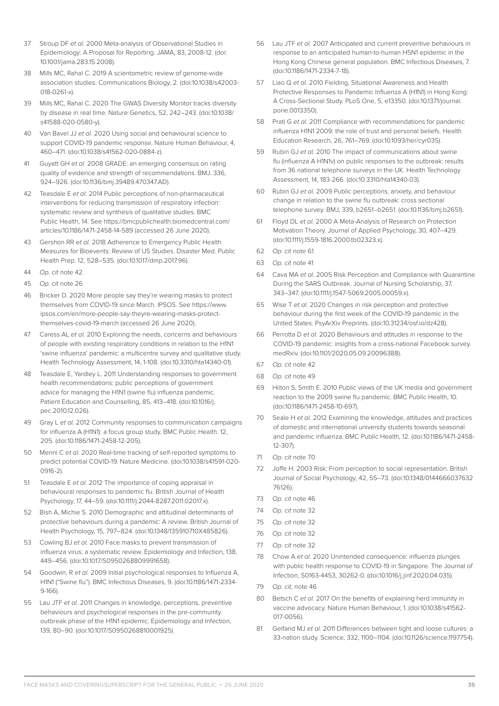- 37 Stroup DF *et al.* 2000 Meta-analysis of Observational Studies in Epidemiology: A Proposal for Reporting. JAMA, 83, 2008-12. (doi: 10.1001/jama.283.15.2008).
- 38 Mills MC, Rahal C. 2019 A scientometric review of genome-wide association studies. Communications Biology, 2. (doi:10.1038/s42003- 018-0261-x).
- 39 Mills MC, Rahal C. 2020 The GWAS Diversity Monitor tracks diversity by disease in real time. Nature Genetics, 52, 242–243. (doi:10.1038/ s41588-020-0580-y).
- 40 Van Bavel JJ *et al.* 2020 Using social and behavioural science to support COVID-19 pandemic response. Nature Human Behaviour, 4, 460–471. (doi:10.1038/s41562-020-0884-z).
- 41 Guyatt GH *et al.* 2008 GRADE: an emerging consensus on rating quality of evidence and strength of recommendations. BMJ. 336, 924–926. (doi:10.1136/bmj.39489.470347.AD).
- 42 Teasdale E *et al.* 2014 Public perceptions of non-pharmaceutical interventions for reducing transmission of respiratory infection: systematic review and synthesis of qualitative studies. BMC Public Health, 14. See https://bmcpublichealth.biomedcentral.com/ articles/10.1186/1471-2458-14-589 (accessed 26 June 2020).
- 43 Gershon RR *et al.* 2018 Adherence to Emergency Public Health Measures for Bioevents: Review of US Studies. Disaster Med. Public Health Prep. 12, 528–535. (doi:10.1017/dmp.2017.96).
- 44 *Op. cit* note 42.
- 45 *Op. cit* note 26
- 46 Bricker D. 2020 More people say they're wearing masks to protect themselves from COVID-19 since March. IPSOS. See https://www. ipsos.com/en/more-people-say-theyre-wearing-masks-protectthemselves-covid-19-march (accessed 26 June 2020).
- 47 Caress AL *et al.* 2010 Exploring the needs, concerns and behaviours of people with existing respiratory conditions in relation to the H1N1 'swine influenza' pandemic: a multicentre survey and qualitative study. Health Technology Assessment, 14, 1-108. (doi:10.3310/hta14340-01).
- 48 Teasdale E, Yardley L. 2011 Understanding responses to government health recommendations: public perceptions of government advice for managing the H1N1 (swine flu) influenza pandemic. Patient Education and Counselling, 85, 413–418. (doi:10.1016/j. pec.2010.12.026).
- 49 Gray L *et al.* 2012 Community responses to communication campaigns for influenza A (H1N1): a focus group study. BMC Public Health. 12, 205. (doi:10.1186/1471-2458-12-205).
- 50 Menni C *et al.* 2020 Real-time tracking of self-reported symptoms to predict potential COVID-19. Nature Medicine. (doi:10.1038/s41591-020- 0916-2).
- 51 Teasdale E *et al.* 2012 The importance of coping appraisal in behavioural responses to pandemic flu. British Journal of Health Psychology, 17, 44–59. (doi:10.1111/j.2044-8287.2011.02017.x).
- 52 Bish A, Michie S. 2010 Demographic and attitudinal determinants of protective behaviours during a pandemic: A review. British Journal of Health Psychology, 15, 797–824. (doi:10.1348/135910710X485826).
- 53 Cowling BJ *et al.* 2010 Face masks to prevent transmission of influenza virus: a systematic review. Epidemiology and Infection, 138, 449–456. (doi:10.1017/S0950268809991658).
- 54 Goodwin, R *et al.* 2009 Initial psychological responses to Influenza A, H1N1 ("Swine flu"). BMC Infectious Diseases, 9. (doi:10.1186/1471-2334- 9-166).
- 55 Lau JTF *et al.* 2011 Changes in knowledge, perceptions, preventive behaviours and psychological responses in the pre-community outbreak phase of the H1N1 epidemic. Epidemiology and Infection, 139, 80–90. (doi:10.1017/S0950268810001925).
- 56 Lau JTF *et al.* 2007 Anticipated and current preventive behaviours in response to an anticipated human-to-human H5N1 epidemic in the Hong Kong Chinese general population. BMC Infectious Diseases, 7. (doi:10.1186/1471-2334-7-18).
- 57 Liao Q *et al.* 2010 Fielding, Situational Awareness and Health Protective Responses to Pandemic Influenza A (H1N1) in Hong Kong: A Cross-Sectional Study. PLoS One, 5, e13350. (doi:10.1371/journal. pone.0013350).
- 58 Prati G *et al.* 2011 Compliance with recommendations for pandemic influenza H1N1 2009: the role of trust and personal beliefs. Health Education Research, 26, 761–769. (doi:10.1093/her/cyr035).
- 59 Rubin GJ *et al.* 2010 The impact of communications about swine flu (influenza A H1N1v) on public responses to the outbreak: results from 36 national telephone surveys in the UK. Health Technology Assessment, 14, 183-266. (doi:10.3310/hta14340-03).
- 60 Rubin GJ *et al.* 2009 Public perceptions, anxiety, and behaviour change in relation to the swine flu outbreak: cross sectional telephone survey. BMJ, 339, b2651–b2651. (doi:10.1136/bmj.b2651).
- 61 Floyd DL *et al.* 2000 A Meta-Analysis of Research on Protection Motivation Theory. Journal of Applied Psychology, 30, 407–429. (doi:10.1111/j.1559-1816.2000.tb02323.x).
- 62 *Op. cit* note 61
- 63 *Op. cit* note 41
- 64 Cava MA *et al.* 2005 Risk Perception and Compliance with Quarantine During the SARS Outbreak. Journal of Nursing Scholarship, 37, 343–347. (doi:10.1111/j.1547-5069.2005.00059.x).
- 65 Wise T *et al.* 2020 Changes in risk perception and protective behaviour during the first week of the COVID-19 pandemic in the United States. PsyArXiv Preprints. (doi:10.31234/osf.io/dz428).
- 66 Perrotta D *et al.* 2020 Behaviours and attitudes in response to the COVID-19 pandemic: insights from a cross-national Facebook survey. medRxiv. (doi:10.1101/2020.05.09.20096388).
- 67 *Op. cit* note 42
- 68 *Op. cit* note 49
- 69 Hilton S, Smith E. 2010 Public views of the UK media and government reaction to the 2009 swine flu pandemic. BMC Public Health, 10. (doi:10.1186/1471-2458-10-697).
- 70 Seale H *et al.* 2012 Examining the knowledge, attitudes and practices of domestic and international university students towards seasonal and pandemic influenza. BMC Public Health, 12. (doi:10.1186/1471-2458- 12-307).
- 71 *Op. cit* note 70
- 72 Joffe H. 2003 Risk: From perception to social representation. British Journal of Social Psychology, 42, 55–73. (doi:10.1348/0144666037632 76126).
- 73 *Op. cit* note 46
- 74 *Op. cit* note 32
- 75 *Op. cit* note 32
- 76 *Op. cit* note 32
- 77 *Op. cit* note 32
- 78 Chow A *et al.* 2020 Unintended consequence: influenza plunges with public health response to COVID-19 in Singapore. The Journal of Infection, S0163-4453, 30262-0. (doi:10.1016/j.jinf.2020.04.035).
- 79 *Op. cit*, note 46
- 80 Betsch C *et al.* 2017 On the benefits of explaining herd immunity in vaccine advocacy. Nature Human Behaviour, 1. (doi:10.1038/s41562- 017-0056).
- 81 Gelfand MJ *et al.* 2011 Differences between tight and loose cultures: a 33-nation study. Science, 332, 1100–1104. (doi:10.1126/science.1197754).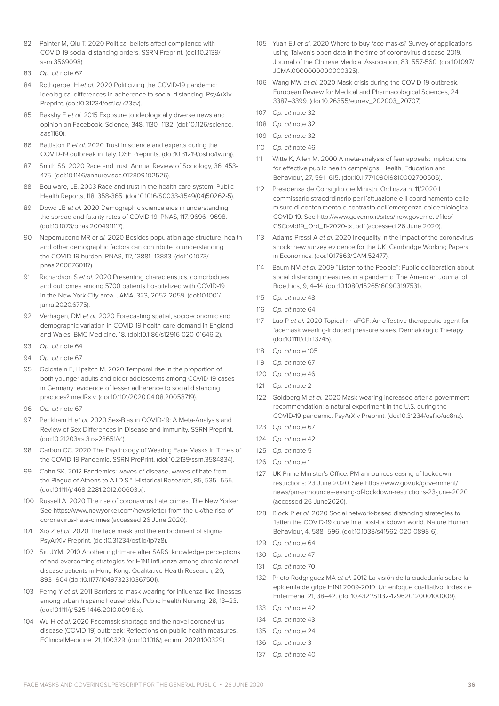- 82 Painter M, Qiu T, 2020 Political beliefs affect compliance with COVID-19 social distancing orders. SSRN Preprint. (doi:10.2139/ ssrn.3569098).
- 83 *Op. cit* note 67
- 84 Rothgerber H et al. 2020 Politicizing the COVID-19 pandemic: ideological differences in adherence to social distancing. PsyArXiv Preprint. (doi:10.31234/osf.io/k23cv).
- 85 Bakshy E *et al.* 2015 Exposure to ideologically diverse news and opinion on Facebook. Science, 348, 1130–1132. (doi:10.1126/science. aaa1160).
- 86 Battiston P *et al.* 2020 Trust in science and experts during the COVID-19 outbreak in Italy. OSF Preprints. (doi:10.31219/osf.io/twuhj).
- 87 Smith SS. 2020 Race and trust. Annual Review of Sociology, 36, 453- 475. (doi:10.1146/annurev.soc.012809.102526).
- 88 Boulware, LE. 2003 Race and trust in the health care system. Public Health Reports, 118, 358-365. (doi:10.1016/S0033-3549(04)50262-5).
- 89 Dowd JB *et al.* 2020 Demographic science aids in understanding the spread and fatality rates of COVID-19. PNAS, 117, 9696–9698. (doi:10.1073/pnas.2004911117).
- 90 Nepomuceno MR *et al.* 2020 Besides population age structure, health and other demographic factors can contribute to understanding the COVID-19 burden. PNAS, 117, 13881–13883. (doi:10.1073/ pnas.2008760117).
- 91 Richardson S *et al.* 2020 Presenting characteristics, comorbidities, and outcomes among 5700 patients hospitalized with COVID-19 in the New York City area. JAMA. 323, 2052-2059. (doi:10.1001/ jama.2020.6775).
- 92 Verhagen, DM *et al.* 2020 Forecasting spatial, socioeconomic and demographic variation in COVID-19 health care demand in England and Wales. BMC Medicine, 18. (doi:10.1186/s12916-020-01646-2).
- 93 *Op. cit* note 64
- 94 *Op. cit* note 67
- 95 Goldstein E, Lipsitch M. 2020 Temporal rise in the proportion of both younger adults and older adolescents among COVID-19 cases in Germany: evidence of lesser adherence to social distancing practices? medRxiv. (doi:10.1101/2020.04.08.20058719).
- 96 *Op. cit* note 67
- 97 Peckham H *et al.* 2020 Sex-Bias in COVID-19: A Meta-Analysis and Review of Sex Differences in Disease and Immunity. SSRN Preprint. (doi:10.21203/rs.3.rs-23651/v1).
- 98 Carbon CC. 2020 The Psychology of Wearing Face Masks in Times of the COVID-19 Pandemic. SSRN PrePrint. (doi:10.2139/ssrn.3584834).
- 99 Cohn SK. 2012 Pandemics: waves of disease, waves of hate from the Plague of Athens to A.I.D.S.\*. Historical Research, 85, 535–555. (doi:10.1111/j.1468-2281.2012.00603.x).
- 100 Russell A. 2020 The rise of coronavirus hate crimes. The New Yorker. See https://www.newyorker.com/news/letter-from-the-uk/the-rise-ofcoronavirus-hate-crimes (accessed 26 June 2020).
- 101 Xio Z *et al.* 2020 The face mask and the embodiment of stigma. PsyArXiv Preprint. (doi:10.31234/osf.io/fp7z8).
- 102 Siu JYM. 2010 Another nightmare after SARS: knowledge perceptions of and overcoming strategies for H1N1 influenza among chronic renal disease patients in Hong Kong. Qualitative Health Research, 20, 893–904 (doi:10.1177/1049732310367501).
- 103 Ferng Y *et al.* 2011 Barriers to mask wearing for influenza-like illnesses among urban hispanic households. Public Health Nursing, 28, 13–23. (doi:10.1111/j.1525-1446.2010.00918.x).
- 104 Wu H *et al.* 2020 Facemask shortage and the novel coronavirus disease (COVID-19) outbreak: Reflections on public health measures. EClinicalMedicine. 21, 100329. (doi:10.1016/j.eclinm.2020.100329).
- 105 Yuan EJ *et al.* 2020 Where to buy face masks? Survey of applications using Taiwan's open data in the time of coronavirus disease 2019. Journal of the Chinese Medical Association, 83, 557-560. (doi:10.1097/ JCMA.0000000000000325).
- 106 Wang MW *et al.* 2020 Mask crisis during the COVID-19 outbreak. European Review for Medical and Pharmacological Sciences, 24, 3387–3399. (doi:10.26355/eurrev\_202003\_20707).
- 107 *Op. cit* note 32
- 108 *Op. cit* note 32
- 109 *Op. cit* note 32
- 110 *Op. cit* note 46
- 111 Witte K, Allen M. 2000 A meta-analysis of fear appeals: implications for effective public health campaigns. Health, Education and Behaviour, 27, 591–615. (doi:10.1177/109019810002700506).
- 112 Presidenxa de Consigilio die Ministri. Ordinaza n. 11/2020 Il commissario straodrdinario per l'attuazione e il coordinamento delle misure di contenimento e contrasto dell'emergenza epidemiologica COVID-19. See http://www.governo.it/sites/new.governo.it/files/ CSCovid19\_Ord\_11-2020-txt.pdf (accessed 26 June 2020).
- 113 Adams-Prassl A *et al.* 2020 Inequality in the impact of the coronavirus shock: new survey evidence for the UK. Cambridge Working Papers in Economics. (doi:10.17863/CAM.52477).
- 114 Baum NM *et al.* 2009 "Listen to the People": Public deliberation about social distancing measures in a pandemic. The American Journal of Bioethics, 9, 4–14. (doi:10.1080/15265160903197531).
- 115 *Op. cit* note 48
- 116 *Op. cit* note 64
- 117 Luo P *et al.* 2020 Topical rh-aFGF: An effective therapeutic agent for facemask wearing-induced pressure sores. Dermatologic Therapy. (doi:10.1111/dth.13745).
- 118 *Op. cit* note 105
- 119 *Op. cit* note 67
- 120 *Op. cit* note 46
- 121 *Op. cit* note 2
- 122 Goldberg M *et al.* 2020 Mask-wearing increased after a government recommendation: a natural experiment in the U.S. during the COVID-19 pandemic. PsyArXiv Preprint. (doi:10.31234/osf.io/uc8nz).
- 123 *Op. cit* note 67
- 124 *Op. cit* note 42
- 125 *Op. cit* note 5
- 126 *Op. cit* note 1
- 127 UK Prime Minister's Office. PM announces easing of lockdown restrictions: 23 June 2020. See https://www.gov.uk/government/ news/pm-announces-easing-of-lockdown-restrictions-23-june-2020 (accessed 26 June2020).
- 128 Block P *et al.* 2020 Social network-based distancing strategies to flatten the COVID-19 curve in a post-lockdown world. Nature Human Behaviour, 4, 588–596. (doi:10.1038/s41562-020-0898-6).
- 129 *Op. cit* note 64
- 130 *Op. cit* note 47
- 131 *Op. cit* note 70
- 132 Prieto Rodgriguez MA *et al.* 2012 La visión de la ciudadanía sobre la epidemia de gripe H1N1 2009-2010: Un enfoque cualitativo. Index de Enfermería. 21, 38–42. (doi:10.4321/S1132-12962012000100009).
- 133 *Op. cit* note 42
- 134 *Op. cit* note 43
- 135 *Op. cit* note 24
- 136 *Op. cit* note 3
- 137 *Op. cit* note 40